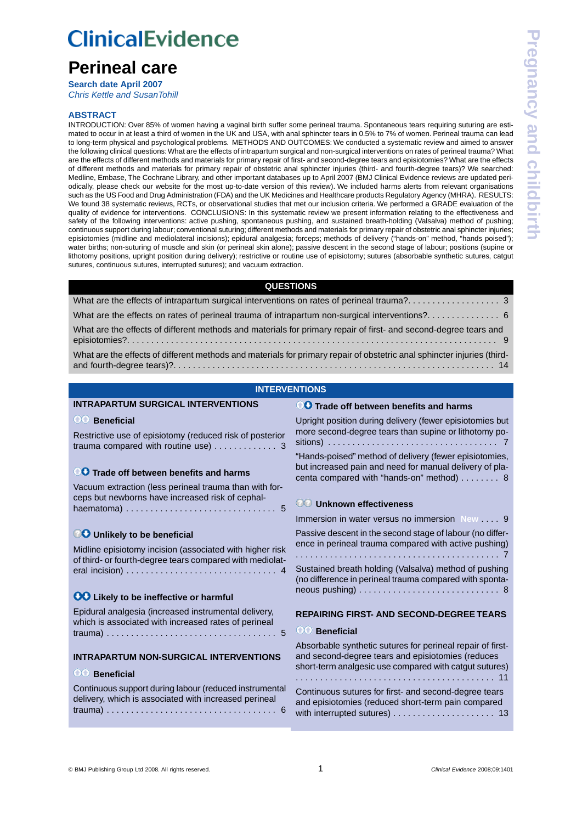# **ClinicalEvidence**

# **Perineal care**

**Search date April 2007** *[Chris Kettle and SusanTohill](#page-15-0)*

# **ABSTRACT**

INTRODUCTION: Over 85% of women having a vaginal birth suffer some perineal trauma. Spontaneous tears requiring suturing are estimated to occur in at least a third of women in the UK and USA, with anal sphincter tears in 0.5% to 7% of women. Perineal trauma can lead to long-term physical and psychological problems. METHODS AND OUTCOMES: We conducted a systematic review and aimed to answer the following clinical questions:What are the effects of intrapartum surgical and non-surgical interventions on rates of perineal trauma? What are the effects of different methods and materials for primary repair of first- and second-degree tears and episiotomies? What are the effects of different methods and materials for primary repair of obstetric anal sphincter injuries (third- and fourth-degree tears)? We searched: Medline, Embase, The Cochrane Library, and other important databases up to April 2007 (BMJ Clinical Evidence reviews are updated periodically, please check our website for the most up-to-date version of this review). We included harms alerts from relevant organisations such as the US Food and Drug Administration (FDA) and the UK Medicines and Healthcare products Regulatory Agency (MHRA). RESULTS: We found 38 systematic reviews, RCTs, or observational studies that met our inclusion criteria. We performed a GRADE evaluation of the quality of evidence for interventions. CONCLUSIONS: In this systematic review we present information relating to the effectiveness and safety of the following interventions: active pushing, spontaneous pushing, and sustained breath-holding (Valsalva) method of pushing; continuous support during labour; conventional suturing; different methods and materials for primary repair of obstetric anal sphincter injuries; episiotomies (midline and mediolateral incisions); epidural analgesia; forceps; methods of delivery ("hands-on" method, "hands poised"); water births; non-suturing of muscle and skin (or perineal skin alone); passive descent in the second stage of labour; positions (supine or lithotomy positions, upright position during delivery); restrictive or routine use of episiotomy; sutures (absorbable synthetic sutures, catgut sutures, continuous sutures, interrupted sutures); and vacuum extraction.

# **QUESTIONS**

| What are the effects of different methods and materials for primary repair of first- and second-degree tears and        |
|-------------------------------------------------------------------------------------------------------------------------|
| What are the effects of different methods and materials for primary repair of obstetric anal sphincter injuries (third- |

# **INTERVENTIONS**

# **[INTRAPARTUM SURGICAL INTERVENTIONS](#page-2-0)**

# **Beneficial**

[Restrictive use of episiotomy \(reduced risk of posterior](#page-2-1) [trauma compared with routine use\)](#page-2-1) . . . . . . . . . . . . . 3

# **<sup>1</sup>O Trade off between benefits and harms**

[Vacuum extraction \(less perineal trauma than with for](#page-4-0)[ceps but newborns have increased risk of cephal](#page-4-0)[haematoma\)](#page-4-0) . . . . . . . . . . . . . . . . . . . . . . . . . . . . . . . 5

# **<sup>***<b>O***O**</sup> Unlikely to be beneficial</sup>

[Midline episiotomy incision \(associated with higher risk](#page-3-0) [of third- or fourth-degree tears compared with mediolat](#page-3-0)[eral incision\)](#page-3-0) . . . . . . . . . . . . . . . . . . . . . . . . . . . . . . . 4

# **00 Likely to be ineffective or harmful**

[Epidural analgesia \(increased instrumental delivery,](#page-4-1) [which is associated with increased rates of perineal](#page-4-1) [trauma\)](#page-4-1) . . . . . . . . . . . . . . . . . . . . . . . . . . . . . . . . . . . 5

# **[INTRAPARTUM NON-SURGICAL INTERVENTIONS](#page-5-0)**

# **8Beneficial**

| Continuous support during labour (reduced instrumental |  |
|--------------------------------------------------------|--|
| delivery, which is associated with increased perineal  |  |
|                                                        |  |

**<sup>1</sup>O Trade off between benefits and harms** 

[Upright position during delivery \(fewer episiotomies but](#page-6-0) [more second-degree tears than supine or lithotomy po](#page-6-0)[sitions\)](#page-6-0) . . . . . . . . . . . . . . . . . . . . . . . . . . . . . . . . . . . 7 ["Hands-poised" method of delivery \(fewer episiotomies,](#page-7-0) [but increased pain and need for manual delivery of pla](#page-7-0)[centa compared with "hands-on" method\)](#page-7-0) . . . . . . . . 8

# **Unknown effectiveness**

[Immersion in water versus no immersion](#page-8-1) **New** . . . . 9

[Passive descent in the second stage of labour \(no differ](#page-6-1)[ence in perineal trauma compared with active pushing\)](#page-6-1) . . . . . . . . . . . . . . . . . . . . . . . . . . . . . . . . . . . . . . . . . . 7

[Sustained breath holding \(Valsalva\) method of pushing](#page-7-1) [\(no difference in perineal trauma compared with sponta](#page-7-1)[neous pushing\)](#page-7-1) . . . . . . . . . . . . . . . . . . . . . . . . . . . . . 8

# **[REPAIRING FIRST- AND SECOND-DEGREE TEARS](#page-8-0)**

# **Beneficial**

[Absorbable synthetic sutures for perineal repair of first](#page-10-0)[and second-degree tears and episiotomies \(reduces](#page-10-0) [short-term analgesic use compared with catgut sutures\)](#page-10-0) . . . . . . . . . . . . . . . . . . . . . . . . . . . . . . . . . . . . . . . . . 11 [Continuous sutures for first- and second-degree tears](#page-12-0) [and episiotomies \(reduced short-term pain compared](#page-12-0) [with interrupted sutures\)](#page-12-0) . . . . . . . . . . . . . . . . . . . . . 13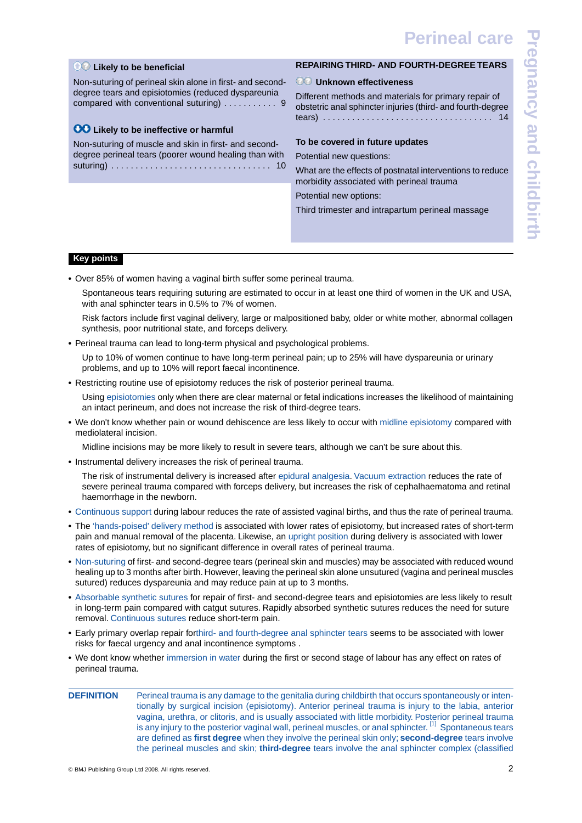**Pregnancy and childbirth**regnancy and childbirth

# **Likely to be beneficial**

[Non-suturing of perineal skin alone in first- and second](#page-8-2)[degree tears and episiotomies \(reduced dyspareunia](#page-8-2) [compared with conventional suturing\)](#page-8-2) . . . . . . . . . . 9

# **CO** Likely to be ineffective or harmful

[Non-suturing of muscle and skin in first- and second](#page-9-0)[degree perineal tears \(poorer wound healing than with](#page-9-0) [suturing\)](#page-9-0) . . . . . . . . . . . . . . . . . . . . . . . . . . . . . . . . . 10

# **[REPAIRING THIRD- AND FOURTH-DEGREE TEARS](#page-13-0)**

# **Unknown effectiveness**

[Different methods and materials for primary repair of](#page-13-1) [obstetric anal sphincter injuries \(third- and fourth-degree](#page-13-1) [tears\)](#page-13-1) . . . . . . . . . . . . . . . . . . . . . . . . . . . . . . . . . . . 14

# **To be covered in future updates**

Potential new questions:

What are the effects of postnatal interventions to reduce morbidity associated with perineal trauma

Potential new options:

Third trimester and intrapartum perineal massage

# **Key points**

**•** Over 85% of women having a vaginal birth suffer some perineal trauma.

Spontaneous tears requiring suturing are estimated to occur in at least one third of women in the UK and USA, with anal sphincter tears in 0.5% to 7% of women.

Risk factors include first vaginal delivery, large or malpositioned baby, older or white mother, abnormal collagen synthesis, poor nutritional state, and forceps delivery.

**•** Perineal trauma can lead to long-term physical and psychological problems.

Up to 10% of women continue to have long-term perineal pain; up to 25% will have dyspareunia or urinary problems, and up to 10% will report faecal incontinence.

• Restricting routine use of episiotomy reduces the risk of posterior perineal trauma.

Using [episiotomies](#page-2-1) only when there are clear maternal or fetal indications increases the likelihood of maintaining an intact perineum, and does not increase the risk of third-degree tears.

**•** We don't know whether pain or wound dehiscence are less likely to occur with [midline episiotomy](#page-3-0) compared with mediolateral incision.

Midline incisions may be more likely to result in severe tears, although we can't be sure about this.

**•** Instrumental delivery increases the risk of perineal trauma.

The risk of instrumental delivery is increased after [epidural analgesia.](#page-4-1) [Vacuum extraction](#page-4-0) reduces the rate of severe perineal trauma compared with forceps delivery, but increases the risk of cephalhaematoma and retinal haemorrhage in the newborn.

- **•** [Continuous support](#page-5-1) during labour reduces the rate of assisted vaginal births, and thus the rate of perineal trauma.
- **•** The ['hands-poised' delivery method](#page-7-0) is associated with lower rates of episiotomy, but increased rates of short-term pain and manual removal of the placenta. Likewise, an [upright position](#page-6-0) during delivery is associated with lower rates of episiotomy, but no significant difference in overall rates of perineal trauma.
- **•** [Non-suturing](#page-8-2) of first- and second-degree tears (perineal skin and muscles) may be associated with reduced wound healing up to 3 months after birth. However, leaving the perineal skin alone unsutured (vagina and perineal muscles sutured) reduces dyspareunia and may reduce pain at up to 3 months.
- **•** [Absorbable synthetic sutures](#page-10-0) for repair of first- and second-degree tears and episiotomies are less likely to result in long-term pain compared with catgut sutures. Rapidly absorbed synthetic sutures reduces the need for suture removal. [Continuous sutures](#page-12-0) reduce short-term pain.
- **•** Early primary overlap repair for[third- and fourth-degree anal sphincter tears](#page-13-1) seems to be associated with lower risks for faecal urgency and anal incontinence symptoms .
- **•** We dont know whether [immersion in water](#page-8-1) during the first or second stage of labour has any effect on rates of perineal trauma.
- **DEFINITION** Perineal trauma is any damage to the genitalia during childbirth that occurs spontaneously or intentionally by surgical incision (episiotomy). Anterior perineal trauma is injury to the labia, anterior vagina, urethra, or clitoris, and is usually associated with little morbidity. Posterior perineal trauma is any injury to the posterior vaginal wall, perineal muscles, or anal sphincter. <sup>[\[1\]](#page-14-0)</sup> Spontaneous tears are defined as **first degree** when they involve the perineal skin only; **second-degree** tears involve the perineal muscles and skin; **third-degree** tears involve the anal sphincter complex (classified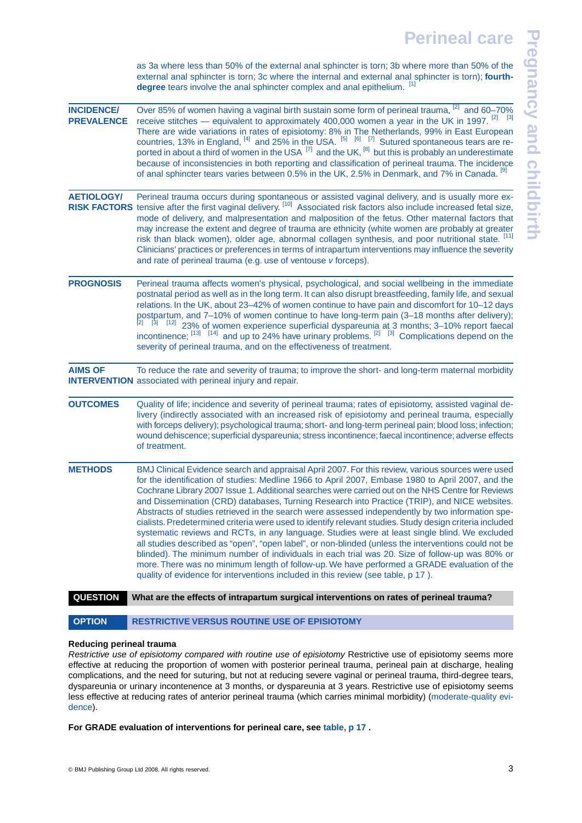**Pregnancy and childbirthPregnancy and childbirth** 

as 3a where less than 50% of the external anal sphincter is torn; 3b where more than 50% of the external anal sphincter is torn; 3c where the internal and external anal sphincter is torn); **fourth-**degree tears involve the anal sphincter complex and anal epithelium. [\[1\]](#page-14-0)

| <b>INCIDENCE/</b> | Over 85% of women having a vaginal birth sustain some form of perineal trauma, [2] and 60-70%                                                                                                                                                                                                                                                                                                                                                                                                                                                                                                                                                                                                                                                                                                                                                                                                                                                                                                                                                                                                                            |
|-------------------|--------------------------------------------------------------------------------------------------------------------------------------------------------------------------------------------------------------------------------------------------------------------------------------------------------------------------------------------------------------------------------------------------------------------------------------------------------------------------------------------------------------------------------------------------------------------------------------------------------------------------------------------------------------------------------------------------------------------------------------------------------------------------------------------------------------------------------------------------------------------------------------------------------------------------------------------------------------------------------------------------------------------------------------------------------------------------------------------------------------------------|
| <b>PREVALENCE</b> | receive stitches — equivalent to approximately 400,000 women a year in the UK in 1997. $^{[2]}$ [3]<br>There are wide variations in rates of episiotomy: 8% in The Netherlands, 99% in East European<br>countries, 13% in England, $^{[4]}$ and 25% in the USA. $^{[5]}$ $^{[6]}$ $^{[7]}$ Sutured spontaneous tears are re-<br>ported in about a third of women in the USA [7] and the UK, [8] but this is probably an underestimate<br>because of inconsistencies in both reporting and classification of perineal trauma. The incidence<br>of anal sphincter tears varies between 0.5% in the UK, 2.5% in Denmark, and 7% in Canada. [9]                                                                                                                                                                                                                                                                                                                                                                                                                                                                              |
| <b>AETIOLOGY/</b> | Perineal trauma occurs during spontaneous or assisted vaginal delivery, and is usually more ex-<br>RISK FACTORS tensive after the first vaginal delivery. [10] Associated risk factors also include increased fetal size,<br>mode of delivery, and malpresentation and malposition of the fetus. Other maternal factors that<br>may increase the extent and degree of trauma are ethnicity (white women are probably at greater<br>risk than black women), older age, abnormal collagen synthesis, and poor nutritional state. [11]<br>Clinicians' practices or preferences in terms of intrapartum interventions may influence the severity<br>and rate of perineal trauma (e.g. use of ventouse v forceps).                                                                                                                                                                                                                                                                                                                                                                                                            |
| <b>PROGNOSIS</b>  | Perineal trauma affects women's physical, psychological, and social wellbeing in the immediate<br>postnatal period as well as in the long term. It can also disrupt breastfeeding, family life, and sexual<br>relations. In the UK, about 23-42% of women continue to have pain and discomfort for 10-12 days<br>postpartum, and 7-10% of women continue to have long-term pain (3-18 months after delivery);<br>$\frac{[2]^{2}[3]}{[12]}$ 23% of women experience superficial dyspareunia at 3 months; 3–10% report faecal incontinence; $^{[13]}$ $^{[14]}$ and up to 24% have urinary problems. $^{[2]}$ $^{[3]}$ Complications depend on the<br>severity of perineal trauma, and on the effectiveness of treatment.                                                                                                                                                                                                                                                                                                                                                                                                  |
| <b>AIMS OF</b>    | To reduce the rate and severity of trauma; to improve the short- and long-term maternal morbidity<br><b>INTERVENTION</b> associated with perineal injury and repair.                                                                                                                                                                                                                                                                                                                                                                                                                                                                                                                                                                                                                                                                                                                                                                                                                                                                                                                                                     |
| <b>OUTCOMES</b>   | Quality of life; incidence and severity of perineal trauma; rates of episiotomy, assisted vaginal de-<br>livery (indirectly associated with an increased risk of episiotomy and perineal trauma, especially<br>with forceps delivery); psychological trauma; short- and long-term perineal pain; blood loss; infection;<br>wound dehiscence; superficial dyspareunia; stress incontinence; faecal incontinence; adverse effects<br>of treatment.                                                                                                                                                                                                                                                                                                                                                                                                                                                                                                                                                                                                                                                                         |
| <b>METHODS</b>    | BMJ Clinical Evidence search and appraisal April 2007. For this review, various sources were used<br>for the identification of studies: Medline 1966 to April 2007, Embase 1980 to April 2007, and the<br>Cochrane Library 2007 Issue 1. Additional searches were carried out on the NHS Centre for Reviews<br>and Dissemination (CRD) databases, Turning Research into Practice (TRIP), and NICE websites.<br>Abstracts of studies retrieved in the search were assessed independently by two information spe-<br>cialists. Predetermined criteria were used to identify relevant studies. Study design criteria included<br>systematic reviews and RCTs, in any language. Studies were at least single blind. We excluded<br>all studies described as "open", "open label", or non-blinded (unless the interventions could not be<br>blinded). The minimum number of individuals in each trial was 20. Size of follow-up was 80% or<br>more. There was no minimum length of follow-up. We have performed a GRADE evaluation of the<br>quality of evidence for interventions included in this review (see table, p 17). |
| <b>QUESTION</b>   | What are the effects of intrapartum surgical interventions on rates of perineal trauma?                                                                                                                                                                                                                                                                                                                                                                                                                                                                                                                                                                                                                                                                                                                                                                                                                                                                                                                                                                                                                                  |
|                   |                                                                                                                                                                                                                                                                                                                                                                                                                                                                                                                                                                                                                                                                                                                                                                                                                                                                                                                                                                                                                                                                                                                          |

<span id="page-2-1"></span><span id="page-2-0"></span>OPTION RESTRICTIVE VERSUS ROUTINE USE OF EPISIOTOMY

# **Reducing perineal trauma**

*Restrictive use of episiotomy compared with routine use of episiotomy* Restrictive use of episiotomy seems more effective at reducing the proportion of women with posterior perineal trauma, perineal pain at discharge, healing complications, and the need for suturing, but not at reducing severe vaginal or perineal trauma, third-degree tears, dyspareunia or urinary incontenence at 3 months, or dyspareunia at 3 years. Restrictive use of episiotomy seems less effective at reducing rates of anterior perineal trauma (which carries minimal morbidity) [\(moderate-quality evi](#page-13-2)[dence](#page-13-2)).

**For GRADE evaluation of interventions for perineal care, see [table, p 17](#page-16-0) .**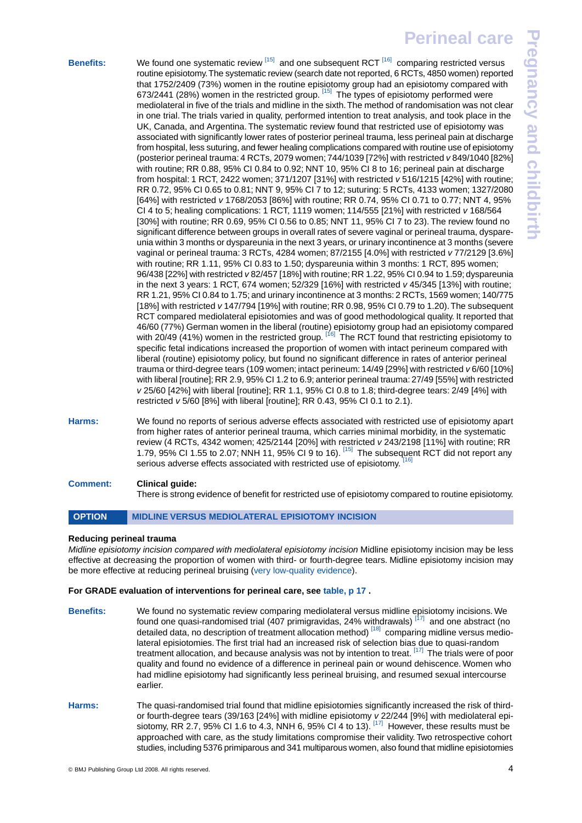| s: | We found one systematic review $^{[15]}$ and one subsequent RCT $^{[16]}$ comparing restricted versus<br>routine episiotomy. The systematic review (search date not reported, 6 RCTs, 4850 women) reported      |
|----|-----------------------------------------------------------------------------------------------------------------------------------------------------------------------------------------------------------------|
|    | that 1752/2409 (73%) women in the routine episiotomy group had an episiotomy compared with                                                                                                                      |
|    | 673/2441 (28%) women in the restricted group. [15] The types of episiotomy performed were                                                                                                                       |
|    | mediolateral in five of the trials and midline in the sixth. The method of randomisation was not clear                                                                                                          |
|    | in one trial. The trials varied in quality, performed intention to treat analysis, and took place in the                                                                                                        |
|    | UK, Canada, and Argentina. The systematic review found that restricted use of episiotomy was                                                                                                                    |
|    | associated with significantly lower rates of posterior perineal trauma, less perineal pain at discharge                                                                                                         |
|    | from hospital, less suturing, and fewer healing complications compared with routine use of episiotomy                                                                                                           |
|    | (posterior perineal trauma: 4 RCTs, 2079 women; 744/1039 [72%] with restricted v849/1040 [82%]                                                                                                                  |
|    | with routine; RR 0.88, 95% CI 0.84 to 0.92; NNT 10, 95% CI 8 to 16; perineal pain at discharge                                                                                                                  |
|    | from hospital: 1 RCT, 2422 women; 371/1207 [31%] with restricted v 516/1215 [42%] with routine;                                                                                                                 |
|    | RR 0.72, 95% CI 0.65 to 0.81; NNT 9, 95% CI 7 to 12; suturing: 5 RCTs, 4133 women; 1327/2080                                                                                                                    |
|    | [64%] with restricted v 1768/2053 [86%] with routine; RR 0.74, 95% CI 0.71 to 0.77; NNT 4, 95%                                                                                                                  |
|    | CI 4 to 5; healing complications: 1 RCT, 1119 women; 114/555 [21%] with restricted v 168/564                                                                                                                    |
|    | [30%] with routine; RR 0.69, 95% CI 0.56 to 0.85; NNT 11, 95% CI 7 to 23). The review found no                                                                                                                  |
|    | significant difference between groups in overall rates of severe vaginal or perineal trauma, dyspare-                                                                                                           |
|    | unia within 3 months or dyspareunia in the next 3 years, or urinary incontinence at 3 months (severe                                                                                                            |
|    | vaginal or perineal trauma: 3 RCTs, 4284 women; 87/2155 [4.0%] with restricted v 77/2129 [3.6%]                                                                                                                 |
|    | with routine; RR 1.11, 95% CI 0.83 to 1.50; dyspareunia within 3 months: 1 RCT, 895 women;                                                                                                                      |
|    | 96/438 [22%] with restricted v 82/457 [18%] with routine; RR 1.22, 95% CI 0.94 to 1.59; dyspareunia                                                                                                             |
|    | in the next 3 years: 1 RCT, 674 women; $52/329$ [16%] with restricted $v$ 45/345 [13%] with routine;                                                                                                            |
|    | RR 1.21, 95% CI 0.84 to 1.75; and urinary incontinence at 3 months: 2 RCTs, 1569 women; 140/775                                                                                                                 |
|    | [18%] with restricted v 147/794 [19%] with routine; RR 0.98, 95% CI 0.79 to 1.20). The subsequent                                                                                                               |
|    | RCT compared mediolateral episiotomies and was of good methodological quality. It reported that                                                                                                                 |
|    | 46/60 (77%) German women in the liberal (routine) episiotomy group had an episiotomy compared                                                                                                                   |
|    | with 20/49 (41%) women in the restricted group. [16] The RCT found that restricting episiotomy to                                                                                                               |
|    | specific fetal indications increased the proportion of women with intact perineum compared with                                                                                                                 |
|    | liberal (routine) episiotomy policy, but found no significant difference in rates of anterior perineal                                                                                                          |
|    | trauma or third-degree tears (109 women; intact perineum: $14/49$ [29%] with restricted $v$ 6/60 [10%]                                                                                                          |
|    | with liberal [routine]; RR 2.9, 95% CI 1.2 to 6.9; anterior perineal trauma: 27/49 [55%] with restricted<br>v 25/60 [42%] with liberal [routine]; RR 1.1, 95% CI 0.8 to 1.8; third-degree tears: 2/49 [4%] with |
|    | restricted $v$ 5/60 [8%] with liberal [routine]; RR 0.43, 95% CI 0.1 to 2.1).                                                                                                                                   |
|    |                                                                                                                                                                                                                 |

**Harms:** We found no reports of serious adverse effects associated with restricted use of episiotomy apart from higher rates of anterior perineal trauma, which carries minimal morbidity, in the systematic review (4 RCTs, 4342 women; 425/2144 [20%] with restricted *v* 243/2198 [11%] with routine; RR 1.79, 95% CI 1.55 to 2.07; NNH 11, 95% CI 9 to 16). [\[15\]](#page-14-14) The subsequent RCT did not report any serious adverse effects associated with restricted use of episiotomy. [\[16\]](#page-14-15)

# **Comment: Clinical guide:**

<span id="page-3-0"></span>There is strong evidence of benefit for restricted use of episiotomy compared to routine episiotomy.

# **OPTION MIDLINE VERSUS MEDIOLATERAL EPISIOTOMY INCISION**

### **Reducing perineal trauma**

*Midline episiotomy incision compared with mediolateral episiotomy incision* Midline episiotomy incision may be less effective at decreasing the proportion of women with third- or fourth-degree tears. Midline episiotomy incision may be more effective at reducing perineal bruising ([very low-quality evidence](#page-13-3)).

#### **For GRADE evaluation of interventions for perineal care, see [table, p 17](#page-16-0) .**

- **Benefits:** We found no systematic review comparing mediolateral versus midline episiotomy incisions. We found one quasi-randomised trial (407 primigravidas, 24% withdrawals)  $\frac{1}{7}$  and one abstract (no detailed data, no description of treatment allocation method)<sup>[\[18\]](#page-14-17)</sup> comparing midline versus mediolateral episiotomies. The first trial had an increased risk of selection bias due to quasi-random treatment allocation, and because analysis was not by intention to treat.  $[17]$  The trials were of poor quality and found no evidence of a difference in perineal pain or wound dehiscence. Women who had midline episiotomy had significantly less perineal bruising, and resumed sexual intercourse earlier. **Harms:** The quasi-randomised trial found that midline episiotomies significantly increased the risk of third-
- or fourth-degree tears (39/163 [24%] with midline episiotomy *v* 22/244 [9%] with mediolateral episiotomy, RR 2.7, 95% CI 1.6 to 4.3, NNH 6, 95% CI 4 to 13).  $\frac{[17]}{[17]}$  $\frac{[17]}{[17]}$  $\frac{[17]}{[17]}$  However, these results must be approached with care, as the study limitations compromise their validity. Two retrospective cohort studies, including 5376 primiparous and 341 multiparous women, also found that midline episiotomies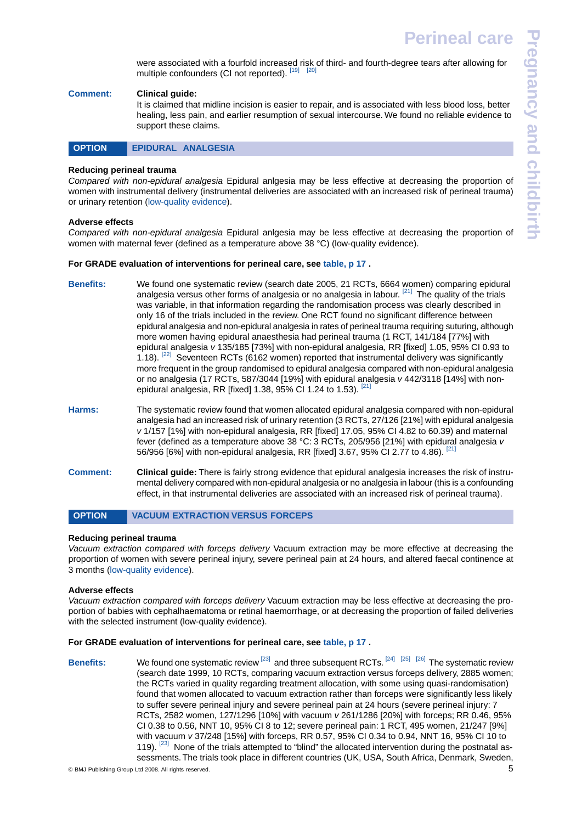**Pregnancy and childbirth**regnancy and childbirth

# **Comment: Clinical guide:**

<span id="page-4-1"></span>It is claimed that midline incision is easier to repair, and is associated with less blood loss, better healing, less pain, and earlier resumption of sexual intercourse. We found no reliable evidence to support these claims.



#### **Reducing perineal trauma**

*Compared with non-epidural analgesia* Epidural anlgesia may be less effective at decreasing the proportion of women with instrumental delivery (instrumental deliveries are associated with an increased risk of perineal trauma) or urinary retention [\(low-quality evidence](#page-13-4)).

#### **Adverse effects**

*Compared with non-epidural analgesia* Epidural anlgesia may be less effective at decreasing the proportion of women with maternal fever (defined as a temperature above 38 °C) (low-quality evidence).

### **For GRADE evaluation of interventions for perineal care, see [table, p 17](#page-16-0) .**

- **Benefits:** We found one systematic review (search date 2005, 21 RCTs, 6664 women) comparing epidural analgesia versus other forms of analgesia or no analgesia in labour. <sup>[\[21\]](#page-14-20)</sup> The quality of the trials was variable, in that information regarding the randomisation process was clearly described in only 16 of the trials included in the review. One RCT found no significant difference between epidural analgesia and non-epidural analgesia in rates of perineal trauma requiring suturing, although more women having epidural anaesthesia had perineal trauma (1 RCT, 141/184 [77%] with epidural analgesia *v* 135/185 [73%] with non-epidural analgesia, RR [fixed] 1.05, 95% CI 0.93 to 1.18). <sup>[\[22\]](#page-14-21)</sup> Seventeen RCTs (6162 women) reported that instrumental delivery was significantly more frequent in the group randomised to epidural analgesia compared with non-epidural analgesia or no analgesia (17 RCTs, 587/3044 [19%] with epidural analgesia *v* 442/3118 [14%] with nonepidural analgesia, RR [fixed] 1.38, 95% CI 1.24 to 1.53). [\[21\]](#page-14-20)
- **Harms:** The systematic review found that women allocated epidural analgesia compared with non-epidural analgesia had an increased risk of urinary retention (3 RCTs, 27/126 [21%] with epidural analgesia *v* 1/157 [1%] with non-epidural analgesia, RR [fixed] 17.05, 95% CI 4.82 to 60.39) and maternal fever (defined as a temperature above 38 °C: 3 RCTs, 205/956 [21%] with epidural analgesia *v* 56/956 [6%] with non-epidural analgesia, RR [fixed] 3.67, 95% CI 2.77 to 4.86).
- <span id="page-4-0"></span>**Comment: Clinical guide:** There is fairly strong evidence that epidural analgesia increases the risk of instrumental delivery compared with non-epidural analgesia or no analgesia in labour (this is a confounding effect, in that instrumental deliveries are associated with an increased risk of perineal trauma).

# **OPTION VACUUM EXTRACTION VERSUS FORCEPS**

#### **Reducing perineal trauma**

*Vacuum extraction compared with forceps delivery* Vacuum extraction may be more effective at decreasing the proportion of women with severe perineal injury, severe perineal pain at 24 hours, and altered faecal continence at 3 months [\(low-quality evidence](#page-13-4)).

#### **Adverse effects**

*Vacuum extraction compared with forceps delivery* Vacuum extraction may be less effective at decreasing the proportion of babies with cephalhaematoma or retinal haemorrhage, or at decreasing the proportion of failed deliveries with the selected instrument (low-quality evidence).

#### **For GRADE evaluation of interventions for perineal care, see [table, p 17](#page-16-0) .**

Benefits: We found one systematic review <sup>[\[23\]](#page-14-22)</sup> and three subsequent RCTs. <sup>[\[24\]](#page-14-23) [\[25\]](#page-14-24)</sup> <sup>[\[26\]](#page-14-25)</sup> The systematic review (search date 1999, 10 RCTs, comparing vacuum extraction versus forceps delivery, 2885 women; the RCTs varied in quality regarding treatment allocation, with some using quasi-randomisation) found that women allocated to vacuum extraction rather than forceps were significantly less likely to suffer severe perineal injury and severe perineal pain at 24 hours (severe perineal injury: 7 RCTs, 2582 women, 127/1296 [10%] with vacuum *v* 261/1286 [20%] with forceps; RR 0.46, 95% CI 0.38 to 0.56, NNT 10, 95% CI 8 to 12; severe perineal pain: 1 RCT, 495 women, 21/247 [9%] with vacuum *v* 37/248 [15%] with forceps, RR 0.57, 95% CI 0.34 to 0.94, NNT 16, 95% CI 10 to 119). <sup>[\[23\]](#page-14-22)</sup> None of the trials attempted to "blind" the allocated intervention during the postnatal assessments.The trials took place in different countries (UK, USA, South Africa, Denmark, Sweden,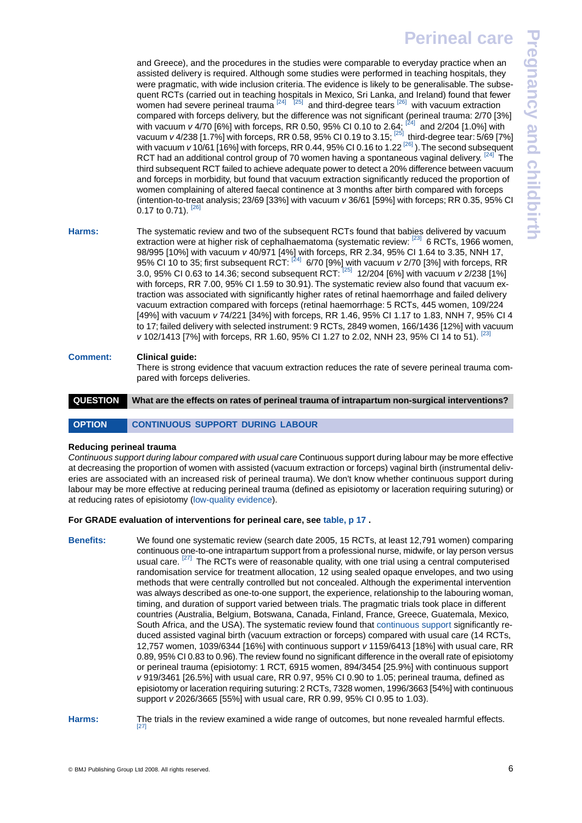**Pregnancy and childbirth**regnancy and childbirt

and Greece), and the procedures in the studies were comparable to everyday practice when an assisted delivery is required. Although some studies were performed in teaching hospitals, they were pragmatic, with wide inclusion criteria. The evidence is likely to be generalisable. The subsequent RCTs (carried out in teaching hospitals in Mexico, Sri Lanka, and Ireland) found that fewer women had severe perineal trauma  $^{[24]}$  $^{[24]}$  $^{[24]}$   $^{[25]}$  $^{[25]}$  $^{[25]}$  and third-degree tears  $^{[26]}$  $^{[26]}$  $^{[26]}$  with vacuum extraction compared with forceps delivery, but the difference was not significant (perineal trauma: 2/70 [3%] with vacuum *v* 4/70 [6%] with forceps, RR 0.50, 95% CI 0.10 to 2.64; [\[24\]](#page-14-23) and 2/204 [1.0%] with with recedum *v* 4/238 [1.7%] with forceps, RR 0.58, 95% CI 0.19 to 3.15; <sup>[\[25\]](#page-14-24)</sup> third-degree tear: 5/69 [7%] with vacuum *v* 10/61 [16%] with forceps, RR 0.44, 95% CI 0.16 to 1.22<sup>[\[26\]](#page-14-25)</sup>). The second subsequent RCT had an additional control group of 70 women having a spontaneous vaginal delivery. <sup>[\[24\]](#page-14-23)</sup> The third subsequent RCT failed to achieve adequate power to detect a 20% difference between vacuum and forceps in morbidity, but found that vacuum extraction significantly reduced the proportion of women complaining of altered faecal continence at 3 months after birth compared with forceps (intention-to-treat analysis; 23/69 [33%] with vacuum *v* 36/61 [59%] with forceps; RR 0.35, 95% CI 0.17 to 0.71). [26

- **Harms:** The systematic review and two of the subsequent RCTs found that babies delivered by vacuum extraction were at higher risk of cephalhaematoma (systematic review:  $^{[23]}$  $^{[23]}$  $^{[23]}$  6 RCTs, 1966 women, 98/995 [10%] with vacuum *v* 40/971 [4%] with forceps, RR 2.34, 95% CI 1.64 to 3.35, NNH 17, 95% CI 10 to 35; first subsequent RCT: <sup>[\[24\]](#page-14-23)</sup> 6/70 [9%] with vacuum *v* 2/70 [3%] with forceps, RR 3.0, 95% CI 0.63 to 14.36; second subsequent RCT: [\[25\]](#page-14-24) 12/204 [6%] with vacuum *v* 2/238 [1%] with forceps, RR 7.00, 95% CI 1.59 to 30.91). The systematic review also found that vacuum extraction was associated with significantly higher rates of retinal haemorrhage and failed delivery vacuum extraction compared with forceps (retinal haemorrhage: 5 RCTs, 445 women, 109/224 [49%] with vacuum *v* 74/221 [34%] with forceps, RR 1.46, 95% CI 1.17 to 1.83, NNH 7, 95% CI 4 to 17; failed delivery with selected instrument: 9 RCTs, 2849 women, 166/1436 [12%] with vacuum *v* 102/1413 [7%] with forceps, RR 1.60, 95% CI 1.27 to 2.02, NNH 23, 95% CI 14 to 51). <sup>[23</sup>
- <span id="page-5-0"></span>**Comment: Clinical guide:** There is strong evidence that vacuum extraction reduces the rate of severe perineal trauma compared with forceps deliveries.
- <span id="page-5-1"></span>**QUESTION What are the effects on rates of perineal trauma of intrapartum non-surgical interventions?**

# OPTION CONTINUOUS SUPPORT DURING LABOUR

# **Reducing perineal trauma**

*Continuous support during labour compared with usual care* Continuous support during labour may be more effective at decreasing the proportion of women with assisted (vacuum extraction or forceps) vaginal birth (instrumental deliveries are associated with an increased risk of perineal trauma). We don't know whether continuous support during labour may be more effective at reducing perineal trauma (defined as episiotomy or laceration requiring suturing) or at reducing rates of episiotomy ([low-quality evidence](#page-13-4)).

# **For GRADE evaluation of interventions for perineal care, see [table, p 17](#page-16-0) .**

**Benefits:** We found one systematic review (search date 2005, 15 RCTs, at least 12,791 women) comparing continuous one-to-one intrapartum support from a professional nurse, midwife, or lay person versus usual care. <sup>[\[27\]](#page-14-26)</sup> The RCTs were of reasonable quality, with one trial using a central computerised randomisation service for treatment allocation, 12 using sealed opaque envelopes, and two using methods that were centrally controlled but not concealed. Although the experimental intervention was always described as one-to-one support, the experience, relationship to the labouring woman, timing, and duration of support varied between trials. The pragmatic trials took place in different countries (Australia, Belgium, Botswana, Canada, Finland, France, Greece, Guatemala, Mexico, South Africa, and the USA). The systematic review found that [continuous support](#page-13-5) significantly reduced assisted vaginal birth (vacuum extraction or forceps) compared with usual care (14 RCTs, 12,757 women, 1039/6344 [16%] with continuous support *v* 1159/6413 [18%] with usual care, RR 0.89, 95% CI 0.83 to 0.96).The review found no significant difference in the overall rate of episiotomy or perineal trauma (episiotomy: 1 RCT, 6915 women, 894/3454 [25.9%] with continuous support *v* 919/3461 [26.5%] with usual care, RR 0.97, 95% CI 0.90 to 1.05; perineal trauma, defined as episiotomy or laceration requiring suturing: 2 RCTs, 7328 women, 1996/3663 [54%] with continuous support *v* 2026/3665 [55%] with usual care, RR 0.99, 95% CI 0.95 to 1.03).

**Harms:** The trials in the review examined a wide range of outcomes, but none revealed harmful effects. [\[27\]](#page-14-26)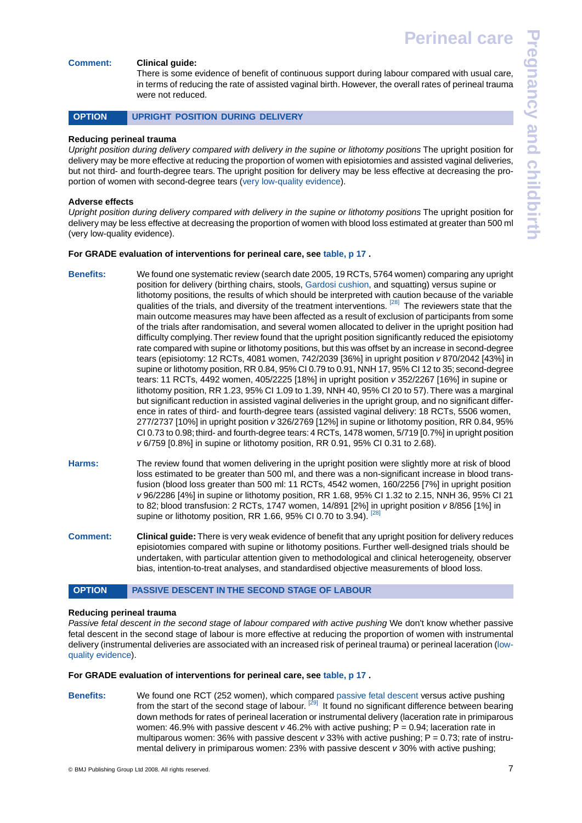#### **Comment: Clinical guide:**

<span id="page-6-0"></span>There is some evidence of benefit of continuous support during labour compared with usual care, in terms of reducing the rate of assisted vaginal birth. However, the overall rates of perineal trauma were not reduced.

#### OPTION UPRIGHT POSITION DURING DELIVERY

#### **Reducing perineal trauma**

*Upright position during delivery compared with delivery in the supine or lithotomy positions* The upright position for delivery may be more effective at reducing the proportion of women with episiotomies and assisted vaginal deliveries, but not third- and fourth-degree tears. The upright position for delivery may be less effective at decreasing the proportion of women with second-degree tears [\(very low-quality evidence](#page-13-3)).

#### **Adverse effects**

*Upright position during delivery compared with delivery in the supine or lithotomy positions* The upright position for delivery may be less effective at decreasing the proportion of women with blood loss estimated at greater than 500 ml (very low-quality evidence).

#### **For GRADE evaluation of interventions for perineal care, see [table, p 17](#page-16-0) .**

- **Benefits:** We found one systematic review (search date 2005, 19 RCTs, 5764 women) comparing any upright position for delivery (birthing chairs, stools, [Gardosi cushion](#page-13-6), and squatting) versus supine or lithotomy positions, the results of which should be interpreted with caution because of the variable qualities of the trials, and diversity of the treatment interventions. <sup>[\[28\]](#page-14-27)</sup> The reviewers state that the main outcome measures may have been affected as a result of exclusion of participants from some of the trials after randomisation, and several women allocated to deliver in the upright position had difficulty complying.Ther review found that the upright position significantly reduced the episiotomy rate compared with supine or lithotomy positions, but this was offset by an increase in second-degree tears (episiotomy: 12 RCTs, 4081 women, 742/2039 [36%] in upright position *v* 870/2042 [43%] in supine or lithotomy position, RR 0.84, 95% CI 0.79 to 0.91, NNH 17, 95% CI 12 to 35; second-degree tears: 11 RCTs, 4492 women, 405/2225 [18%] in upright position *v* 352/2267 [16%] in supine or lithotomy position, RR 1.23, 95% CI 1.09 to 1.39, NNH 40, 95% CI 20 to 57).There was a marginal but significant reduction in assisted vaginal deliveries in the upright group, and no significant difference in rates of third- and fourth-degree tears (assisted vaginal delivery: 18 RCTs, 5506 women, 277/2737 [10%] in upright position *v* 326/2769 [12%] in supine or lithotomy position, RR 0.84, 95% CI 0.73 to 0.98; third- and fourth-degree tears: 4 RCTs, 1478 women, 5/719 [0.7%] in upright position *v* 6/759 [0.8%] in supine or lithotomy position, RR 0.91, 95% CI 0.31 to 2.68).
- **Harms:** The review found that women delivering in the upright position were slightly more at risk of blood loss estimated to be greater than 500 ml, and there was a non-significant increase in blood transfusion (blood loss greater than 500 ml: 11 RCTs, 4542 women, 160/2256 [7%] in upright position *v* 96/2286 [4%] in supine or lithotomy position, RR 1.68, 95% CI 1.32 to 2.15, NNH 36, 95% CI 21 to 82; blood transfusion: 2 RCTs, 1747 women, 14/891 [2%] in upright position *v* 8/856 [1%] in supine or lithotomy position, RR 1.66, 95% CI 0.70 to 3.94).
- <span id="page-6-1"></span>**Comment: Clinical guide:** There is very weak evidence of benefit that any upright position for delivery reduces episiotomies compared with supine or lithotomy positions. Further well-designed trials should be undertaken, with particular attention given to methodological and clinical heterogeneity, observer bias, intention-to-treat analyses, and standardised objective measurements of blood loss.

#### **OPTION PASSIVE DESCENT IN THE SECOND STAGE OF LABOUR**

#### **Reducing perineal trauma**

Passive fetal descent in the second stage of labour compared with active pushing We don't know whether passive fetal descent in the second stage of labour is more effective at reducing the proportion of women with instrumental delivery (instrumental deliveries are associated with an increased risk of perineal trauma) or perineal laceration ([low](#page-13-4)[quality evidence](#page-13-4)).

#### **For GRADE evaluation of interventions for perineal care, see [table, p 17](#page-16-0) .**

**Benefits:** We found one RCT (252 women), which compared [passive fetal descent](#page-13-7) versus active pushing from the start of the second stage of labour. <sup>[\[29\]](#page-14-28)</sup> It found no significant difference between bearing down methods for rates of perineal laceration or instrumental delivery (laceration rate in primiparous women: 46.9% with passive descent *v* 46.2% with active pushing; P = 0.94; laceration rate in multiparous women: 36% with passive descent *v* 33% with active pushing; P = 0.73; rate of instrumental delivery in primiparous women: 23% with passive descent *v* 30% with active pushing;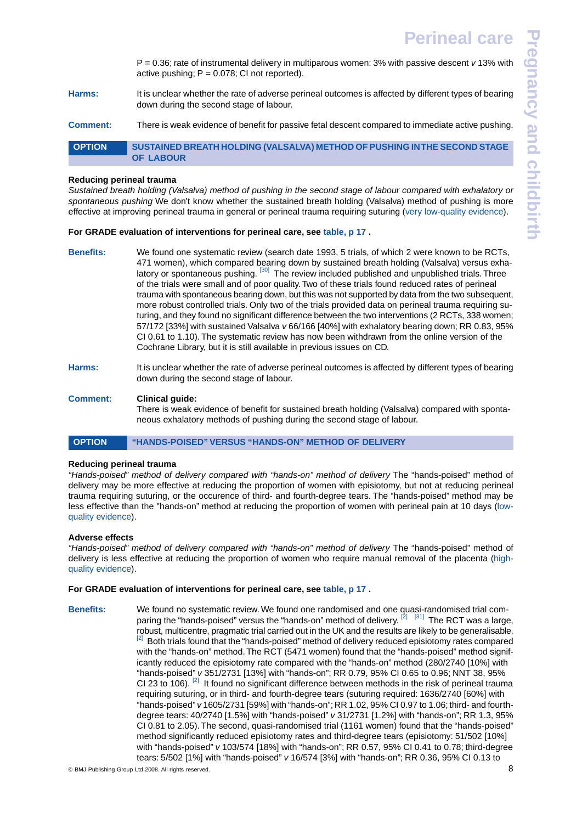P = 0.36; rate of instrumental delivery in multiparous women: 3% with passive descent *v* 13% with active pushing;  $P = 0.078$ ; CI not reported).

- **Harms:** It is unclear whether the rate of adverse perineal outcomes is affected by different types of bearing down during the second stage of labour.
- **Comment:** There is weak evidence of benefit for passive fetal descent compared to immediate active pushing.

<span id="page-7-1"></span>**OPTION SUSTAINED BREATH HOLDING (VALSALVA) METHOD OF PUSHING IN THE SECOND STAGE OF LABOUR** 

#### **Reducing perineal trauma**

*Sustained breath holding (Valsalva) method of pushing in the second stage of labour compared with exhalatory or spontaneous pushing* We don't know whether the sustained breath holding (Valsalva) method of pushing is more effective at improving perineal trauma in general or perineal trauma requiring suturing ([very low-quality evidence\)](#page-13-3).

#### **For GRADE evaluation of interventions for perineal care, see [table, p 17](#page-16-0) .**

- **Benefits:** We found one systematic review (search date 1993, 5 trials, of which 2 were known to be RCTs, 471 women), which compared bearing down by sustained breath holding (Valsalva) versus exhalatory or spontaneous pushing.  $[30]$  The review included published and unpublished trials. Three of the trials were small and of poor quality. Two of these trials found reduced rates of perineal trauma with spontaneous bearing down, but this was not supported by data from the two subsequent, more robust controlled trials. Only two of the trials provided data on perineal trauma requiring suturing, and they found no significant difference between the two interventions (2 RCTs, 338 women; 57/172 [33%] with sustained Valsalva *v* 66/166 [40%] with exhalatory bearing down; RR 0.83, 95% CI 0.61 to 1.10). The systematic review has now been withdrawn from the online version of the Cochrane Library, but it is still available in previous issues on CD.
- **Harms:** It is unclear whether the rate of adverse perineal outcomes is affected by different types of bearing down during the second stage of labour.

#### **Comment: Clinical guide:**

<span id="page-7-0"></span>There is weak evidence of benefit for sustained breath holding (Valsalva) compared with spontaneous exhalatory methods of pushing during the second stage of labour.

#### OPTION "HANDS-POISED" VERSUS "HANDS-ON" METHOD OF DELIVERY

#### **Reducing perineal trauma**

*"Hands-poised" method of delivery compared with "hands-on" method of delivery* The "hands-poised" method of delivery may be more effective at reducing the proportion of women with episiotomy, but not at reducing perineal trauma requiring suturing, or the occurence of third- and fourth-degree tears. The "hands-poised" method may be less effective than the "hands-on" method at reducing the proportion of women with perineal pain at 10 days ([low](#page-13-4)[quality evidence](#page-13-4)).

#### **Adverse effects**

*"Hands-poised" method of delivery compared with "hands-on" method of delivery* The "hands-poised" method of delivery is less effective at reducing the proportion of women who require manual removal of the placenta [\(high](#page-13-8)[quality evidence](#page-13-8)).

#### **For GRADE evaluation of interventions for perineal care, see [table, p 17](#page-16-0) .**

**Benefits:** We found no systematic review. We found one randomised and one quasi-randomised trial com-paring the "hands-poised" versus the "hands-on" method of delivery. <sup>[\[2\]](#page-14-1) [\[31\]](#page-14-30)</sup> The RCT was a large, robust, multicentre, pragmatic trial carried out in the UK and the results are likely to be generalisable. [\[2\]](#page-14-1) Both trials found that the "hands-poised" method of delivery reduced episiotomy rates compared with the "hands-on" method.The RCT (5471 women) found that the "hands-poised" method significantly reduced the episiotomy rate compared with the "hands-on" method (280/2740 [10%] with "hands-poised" *v* 351/2731 [13%] with "hands-on"; RR 0.79, 95% CI 0.65 to 0.96; NNT 38, 95% CI 23 to 106).  $^{[2]}$  $^{[2]}$  $^{[2]}$  It found no significant difference between methods in the risk of perineal trauma requiring suturing, or in third- and fourth-degree tears (suturing required: 1636/2740 [60%] with "hands-poised" *v* 1605/2731 [59%] with "hands-on"; RR 1.02, 95% CI 0.97 to 1.06; third- and fourthdegree tears: 40/2740 [1.5%] with "hands-poised" *v* 31/2731 [1.2%] with "hands-on"; RR 1.3, 95% CI 0.81 to 2.05). The second, quasi-randomised trial (1161 women) found that the "hands-poised" method significantly reduced episiotomy rates and third-degree tears (episiotomy: 51/502 [10%] with "hands-poised" *v* 103/574 [18%] with "hands-on"; RR 0.57, 95% CI 0.41 to 0.78; third-degree tears: 5/502 [1%] with "hands-poised" *v* 16/574 [3%] with "hands-on"; RR 0.36, 95% CI 0.13 to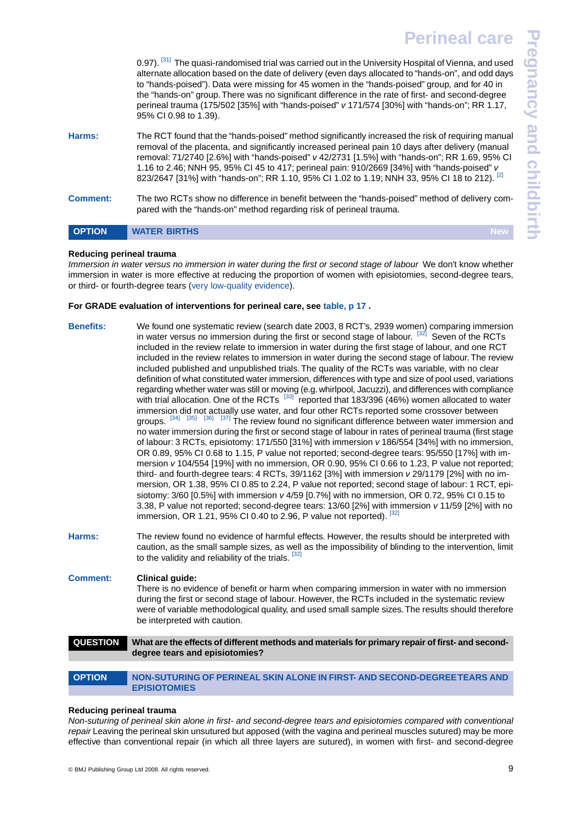|                 | 0.97). [31] The quasi-randomised trial was carried out in the University Hospital of Vienna, and used<br>alternate allocation based on the date of delivery (even days allocated to "hands-on", and odd days<br>to "hands-poised"). Data were missing for 45 women in the "hands-poised" group, and for 40 in<br>the "hands-on" group. There was no significant difference in the rate of first- and second-degree<br>perineal trauma (175/502 [35%] with "hands-poised" v 171/574 [30%] with "hands-on"; RR 1.17,<br>95% CI 0.98 to 1.39). |
|-----------------|---------------------------------------------------------------------------------------------------------------------------------------------------------------------------------------------------------------------------------------------------------------------------------------------------------------------------------------------------------------------------------------------------------------------------------------------------------------------------------------------------------------------------------------------|
| Harms:          | The RCT found that the "hands-poised" method significantly increased the risk of requiring manual<br>removal of the placenta, and significantly increased perineal pain 10 days after delivery (manual<br>removal: 71/2740 [2.6%] with "hands-poised" v 42/2731 [1.5%] with "hands-on"; RR 1.69, 95% CI<br>1.16 to 2.46; NNH 95, 95% CI 45 to 417; perineal pain: 910/2669 [34%] with "hands-poised" v<br>823/2647 [31%] with "hands-on"; RR 1.10, 95% CI 1.02 to 1.19; NNH 33, 95% CI 18 to 212). [2]                                      |
| <b>Comment:</b> | The two RCTs show no difference in benefit between the "hands-poised" method of delivery com-<br>pared with the "hands-on" method regarding risk of perineal trauma.                                                                                                                                                                                                                                                                                                                                                                        |
| <b>OPTION</b>   | <b>WATER BIRTHS</b>                                                                                                                                                                                                                                                                                                                                                                                                                                                                                                                         |

#### <span id="page-8-1"></span>**Reducing perineal trauma**

*Immersion in water versus no immersion in water during the first or second stage of labour* We don't know whether immersion in water is more effective at reducing the proportion of women with episiotomies, second-degree tears, or third- or fourth-degree tears [\(very low-quality evidence](#page-13-3)).

#### **For GRADE evaluation of interventions for perineal care, see [table, p 17](#page-16-0) .**

- **Benefits:** We found one systematic review (search date 2003, 8 RCT's, 2939 women) comparing immersion in water versus no immersion during the first or second stage of labour. <sup>[\[32\]](#page-14-31)</sup> Seven of the RCTs included in the review relate to immersion in water during the first stage of labour, and one RCT included in the review relates to immersion in water during the second stage of labour. The review included published and unpublished trials. The quality of the RCTs was variable, with no clear definition of what constituted water immersion, differences with type and size of pool used, variations regarding whether water was still or moving (e.g. whirlpool, Jacuzzi), and differences with compliance with trial allocation. One of the RCTs <sup>[\[33\]](#page-14-32)</sup> reported that 183/396 (46%) women allocated to water immersion did not actually use water, and four other RCTs reported some crossover between groups. <sup>[\[34\]](#page-14-33) [\[35\]](#page-14-34)</sup> <sup>[\[36\]](#page-14-35)</sup> <sup>[\[37\]](#page-14-36)</sup> The review found no significant difference between water immersion and no water immersion during the first or second stage of labour in rates of perineal trauma (first stage of labour: 3 RCTs, episiotomy: 171/550 [31%] with immersion *v* 186/554 [34%] with no immersion, OR 0.89, 95% CI 0.68 to 1.15, P value not reported; second-degree tears: 95/550 [17%] with immersion *v* 104/554 [19%] with no immersion, OR 0.90, 95% CI 0.66 to 1.23, P value not reported; third- and fourth-degree tears: 4 RCTs, 39/1162 [3%] with immersion *v* 29/1179 [2%] with no immersion, OR 1.38, 95% CI 0.85 to 2.24, P value not reported; second stage of labour: 1 RCT, episiotomy: 3/60 [0.5%] with immersion *v* 4/59 [0.7%] with no immersion, OR 0.72, 95% CI 0.15 to 3.38, P value not reported; second-degree tears: 13/60 [2%] with immersion *v* 11/59 [2%] with no immersion, OR 1.21, 95% CI 0.40 to 2.96, P value not reported). [\[32\]](#page-14-31) **Harms:** The review found no evidence of harmful effects. However, the results should be interpreted with caution, as the small sample sizes, as well as the impossibility of blinding to the intervention, limit to the validity and reliability of the trials. <sup>[\[32\]](#page-14-31)</sup> **Comment: Clinical guide:** There is no evidence of benefit or harm when comparing immersion in water with no immersion during the first or second stage of labour. However, the RCTs included in the systematic review were of variable methodological quality, and used small sample sizes.The results should therefore be interpreted with caution. **QUESTION What are the effects of different methods and materials for primary repair of first- and seconddegree tears and episiotomies? OPTION NON-SUTURING OF PERINEAL SKIN ALONE IN FIRST- AND SECOND-DEGREE TEARS AND**
	- **EPISIOTOMIES**

# <span id="page-8-2"></span><span id="page-8-0"></span>**Reducing perineal trauma**

*Non-suturing of perineal skin alone in first- and second-degree tears and episiotomies compared with conventional repair* Leaving the perineal skin unsutured but apposed (with the vagina and perineal muscles sutured) may be more effective than conventional repair (in which all three layers are sutured), in women with first- and second-degree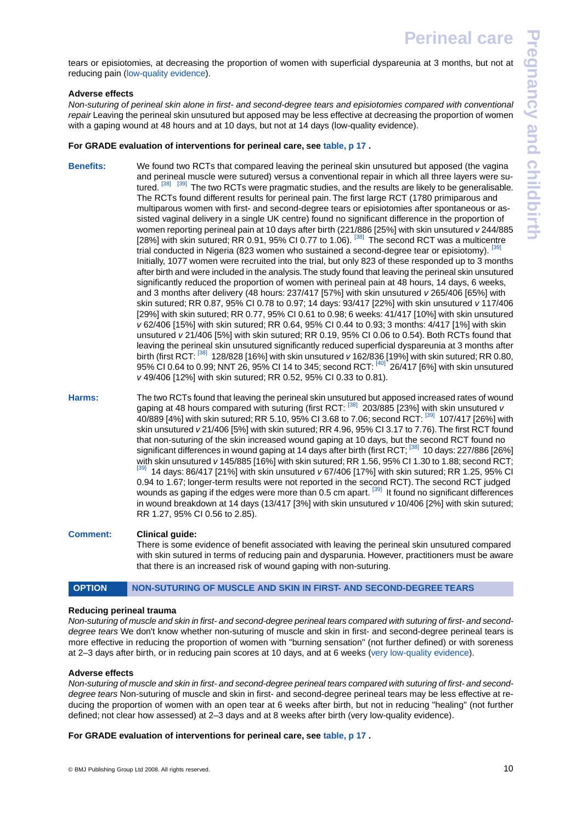tears or episiotomies, at decreasing the proportion of women with superficial dyspareunia at 3 months, but not at reducing pain ([low-quality evidence](#page-13-4)).

## **Adverse effects**

*Non-suturing of perineal skin alone in first- and second-degree tears and episiotomies compared with conventional repair* Leaving the perineal skin unsutured but apposed may be less effective at decreasing the proportion of women with a gaping wound at 48 hours and at 10 days, but not at 14 days (low-quality evidence).

#### **For GRADE evaluation of interventions for perineal care, see [table, p 17](#page-16-0) .**

- **Benefits:** We found two RCTs that compared leaving the perineal skin unsutured but apposed (the vagina and perineal muscle were sutured) versus a conventional repair in which all three layers were su-tured. <sup>[\[38\]](#page-14-37)</sup> The two RCTs were pragmatic studies, and the results are likely to be generalisable. The RCTs found different results for perineal pain. The first large RCT (1780 primiparous and multiparous women with first- and second-degree tears or episiotomies after spontaneous or assisted vaginal delivery in a single UK centre) found no significant difference in the proportion of women reporting perineal pain at 10 days after birth (221/886 [25%] with skin unsutured *v* 244/885 [28%] with skin sutured; RR 0.91, 95% CI 0.77 to 1.06). <sup>[\[38\]](#page-14-37)</sup> The second RCT was a multicentre trial conducted in Nigeria (823 women who sustained a second-degree tear or episiotomy). <sup>[\[39\]](#page-14-38)</sup> Initially, 1077 women were recruited into the trial, but only 823 of these responded up to 3 months after birth and were included in the analysis.The study found that leaving the perineal skin unsutured significantly reduced the proportion of women with perineal pain at 48 hours, 14 days, 6 weeks, and 3 months after delivery (48 hours: 237/417 [57%] with skin unsutured *v* 265/406 [65%] with skin sutured; RR 0.87, 95% CI 0.78 to 0.97; 14 days: 93/417 [22%] with skin unsutured *v* 117/406 [29%] with skin sutured; RR 0.77, 95% CI 0.61 to 0.98; 6 weeks: 41/417 [10%] with skin unsutured *v* 62/406 [15%] with skin sutured; RR 0.64, 95% CI 0.44 to 0.93; 3 months: 4/417 [1%] with skin unsutured *v* 21/406 [5%] with skin sutured; RR 0.19, 95% CI 0.06 to 0.54). Both RCTs found that leaving the perineal skin unsutured significantly reduced superficial dyspareunia at 3 months after birth (first RCT: [\[38\]](#page-14-37) 128/828 [16%] with skin unsutured *v* 162/836 [19%] with skin sutured; RR 0.80, 95% CI 0.64 to 0.99; NNT 26, 95% CI 14 to 345; second RCT: <sup>[\[40\]](#page-14-39)</sup> 26/417 [6%] with skin unsutured *v* 49/406 [12%] with skin sutured; RR 0.52, 95% CI 0.33 to 0.81).
- **Harms:** The two RCTs found that leaving the perineal skin unsutured but apposed increased rates of wound gaping at 48 hours compared with suturing (first RCT: [\[38\]](#page-14-37) 203/885 [23%] with skin unsutured *v*  $40/889$  [4%] with skin sutured; RR 5.10, 95% CI 3.68 to 7.06; second RCT:  $^{[39]}$  $^{[39]}$  $^{[39]}$  107/417 [26%] with skin unsutured *v* 21/406 [5%] with skin sutured; RR 4.96, 95% CI 3.17 to 7.76).The first RCT found that non-suturing of the skin increased wound gaping at 10 days, but the second RCT found no significant differences in wound gaping at 14 days after birth (first RCT; <sup>[\[38\]](#page-14-37)</sup> 10 days: 227/886 [26%] with skin unsutured *v* 145/885 [16%] with skin sutured; RR 1.56, 95% CI 1.30 to 1.88; second RCT; [\[39\]](#page-14-38) 14 days: 86/417 [21%] with skin unsutured *v* 67/406 [17%] with skin sutured; RR 1.25, 95% CI 0.94 to 1.67; longer-term results were not reported in the second RCT). The second RCT judged wounds as gaping if the edges were more than 0.5 cm apart. [\[39\]](#page-14-38) It found no significant differences in wound breakdown at 14 days (13/417 [3%] with skin unsutured *v* 10/406 [2%] with skin sutured; RR 1.27, 95% CI 0.56 to 2.85).

# **Comment: Clinical guide:**

<span id="page-9-0"></span>There is some evidence of benefit associated with leaving the perineal skin unsutured compared with skin sutured in terms of reducing pain and dysparunia. However, practitioners must be aware that there is an increased risk of wound gaping with non-suturing.

# **OPTION NON-SUTURING OF MUSCLE AND SKIN IN FIRST- AND SECOND-DEGREE TEARS. . . . . . .**

#### **Reducing perineal trauma**

*Non-suturing of muscle and skin in first- and second-degree perineal tears compared with suturing of first- and seconddegree tears* We don't know whether non-suturing of muscle and skin in first- and second-degree perineal tears is more effective in reducing the proportion of women with "burning sensation" (not further defined) or with soreness at 2–3 days after birth, or in reducing pain scores at 10 days, and at 6 weeks ([very low-quality evidence\)](#page-13-3).

#### **Adverse effects**

*Non-suturing of muscle and skin in first- and second-degree perineal tears compared with suturing of first- and seconddegree tears* Non-suturing of muscle and skin in first- and second-degree perineal tears may be less effective at reducing the proportion of women with an open tear at 6 weeks after birth, but not in reducing "healing" (not further defined; not clear how assessed) at 2–3 days and at 8 weeks after birth (very low-quality evidence).

# **For GRADE evaluation of interventions for perineal care, see [table, p 17](#page-16-0) .**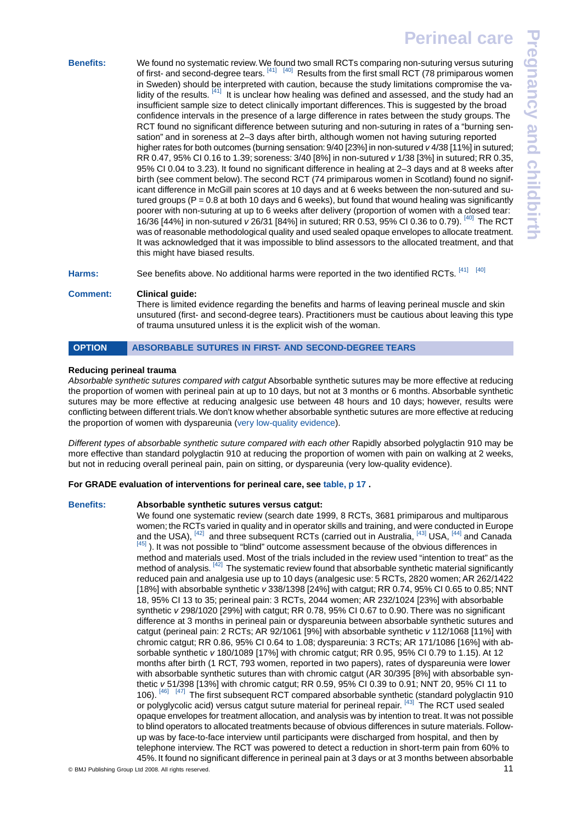**Pregnancy and childbirth**regnancy and childbirt

**Benefits:** We found no systematic review.We found two small RCTs comparing non-suturing versus suturing of first- and second-degree tears. <sup>[\[41\]](#page-14-40) [\[40\]](#page-14-39)</sup> Results from the first small RCT (78 primiparous women in Sweden) should be interpreted with caution, because the study limitations compromise the va-lidity of the results. <sup>[\[41\]](#page-14-40)</sup> It is unclear how healing was defined and assessed, and the study had an insufficient sample size to detect clinically important differences. This is suggested by the broad confidence intervals in the presence of a large difference in rates between the study groups. The RCT found no significant difference between suturing and non-suturing in rates of a "burning sensation" and in soreness at 2–3 days after birth, although women not having suturing reported higher rates for both outcomes (burning sensation: 9/40 [23%] in non-sutured *v* 4/38 [11%] in sutured; RR 0.47, 95% CI 0.16 to 1.39; soreness: 3/40 [8%] in non-sutured *v* 1/38 [3%] in sutured; RR 0.35, 95% CI 0.04 to 3.23). It found no significant difference in healing at 2–3 days and at 8 weeks after birth (see comment below).The second RCT (74 primiparous women in Scotland) found no significant difference in McGill pain scores at 10 days and at 6 weeks between the non-sutured and sutured groups ( $P = 0.8$  at both 10 days and 6 weeks), but found that wound healing was significantly poorer with non-suturing at up to 6 weeks after delivery (proportion of women with a closed tear: 16/36 [44%] in non-sutured *v* 26/31 [84%] in sutured; RR 0.53, 95% CI 0.36 to 0.79). [\[40\]](#page-14-39) The RCT was of reasonable methodological quality and used sealed opaque envelopes to allocate treatment. It was acknowledged that it was impossible to blind assessors to the allocated treatment, and that this might have biased results.

Harms: See benefits above. No additional harms were reported in the two identified RCTs. <sup>[\[41\]](#page-14-40)</sup> [\[40\]](#page-14-39)

# **Comment: Clinical guide:**

<span id="page-10-0"></span>There is limited evidence regarding the benefits and harms of leaving perineal muscle and skin unsutured (first- and second-degree tears). Practitioners must be cautious about leaving this type of trauma unsutured unless it is the explicit wish of the woman.

# **OPTION ABSORBABLE SUTURES IN FIRST- AND SECOND-DEGREE TEARS**

# **Reducing perineal trauma**

*Absorbable synthetic sutures compared with catgut* Absorbable synthetic sutures may be more effective at reducing the proportion of women with perineal pain at up to 10 days, but not at 3 months or 6 months. Absorbable synthetic sutures may be more effective at reducing analgesic use between 48 hours and 10 days; however, results were conflicting between different trials.We don't know whether absorbable synthetic sutures are more effective at reducing the proportion of women with dyspareunia ([very low-quality evidence](#page-13-3)).

*Different types of absorbable synthetic suture compared with each other* Rapidly absorbed polyglactin 910 may be more effective than standard polyglactin 910 at reducing the proportion of women with pain on walking at 2 weeks, but not in reducing overall perineal pain, pain on sitting, or dyspareunia (very low-quality evidence).

# **For GRADE evaluation of interventions for perineal care, see [table, p 17](#page-16-0) .**

# **Benefits: Absorbable synthetic sutures versus catgut:**

We found one systematic review (search date 1999, 8 RCTs, 3681 primiparous and multiparous women; the RCTs varied in quality and in operator skills and training, and were conducted in Europe and the USA), <sup>[\[42\]](#page-14-41)</sup> and three subsequent RCTs (carried out in Australia, <sup>[\[43\]](#page-14-42)</sup> USA, <sup>[\[44\]](#page-14-43)</sup> and Canada  $[45]$ ). It was not possible to "blind" outcome assessment because of the obvious differences in method and materials used. Most of the trials included in the review used "intention to treat" as the method of analysis. <sup>[\[42\]](#page-14-41)</sup> The systematic review found that absorbable synthetic material significantly reduced pain and analgesia use up to 10 days (analgesic use: 5 RCTs, 2820 women; AR 262/1422 [18%] with absorbable synthetic *v* 338/1398 [24%] with catgut; RR 0.74, 95% CI 0.65 to 0.85; NNT 18, 95% CI 13 to 35; perineal pain: 3 RCTs, 2044 women; AR 232/1024 [23%] with absorbable synthetic *v* 298/1020 [29%] with catgut; RR 0.78, 95% CI 0.67 to 0.90. There was no significant difference at 3 months in perineal pain or dyspareunia between absorbable synthetic sutures and catgut (perineal pain: 2 RCTs; AR 92/1061 [9%] with absorbable synthetic *v* 112/1068 [11%] with chromic catgut; RR 0.86, 95% CI 0.64 to 1.08; dyspareunia: 3 RCTs; AR 171/1086 [16%] with absorbable synthetic *v* 180/1089 [17%] with chromic catgut; RR 0.95, 95% CI 0.79 to 1.15). At 12 months after birth (1 RCT, 793 women, reported in two papers), rates of dyspareunia were lower with absorbable synthetic sutures than with chromic catgut (AR 30/395 [8%] with absorbable synthetic *v* 51/398 [13%] with chromic catgut; RR 0.59, 95% CI 0.39 to 0.91; NNT 20, 95% CI 11 to 106). [\[46\]](#page-14-45) [\[47\]](#page-14-46) The first subsequent RCT compared absorbable synthetic (standard polyglactin 910 or polyglycolic acid) versus catgut suture material for perineal repair. [\[43\]](#page-14-42) The RCT used sealed opaque envelopes for treatment allocation, and analysis was by intention to treat. It was not possible to blind operators to allocated treatments because of obvious differences in suture materials. Followup was by face-to-face interview until participants were discharged from hospital, and then by telephone interview. The RCT was powered to detect a reduction in short-term pain from 60% to 45%. It found no significant difference in perineal pain at 3 days or at 3 months between absorbable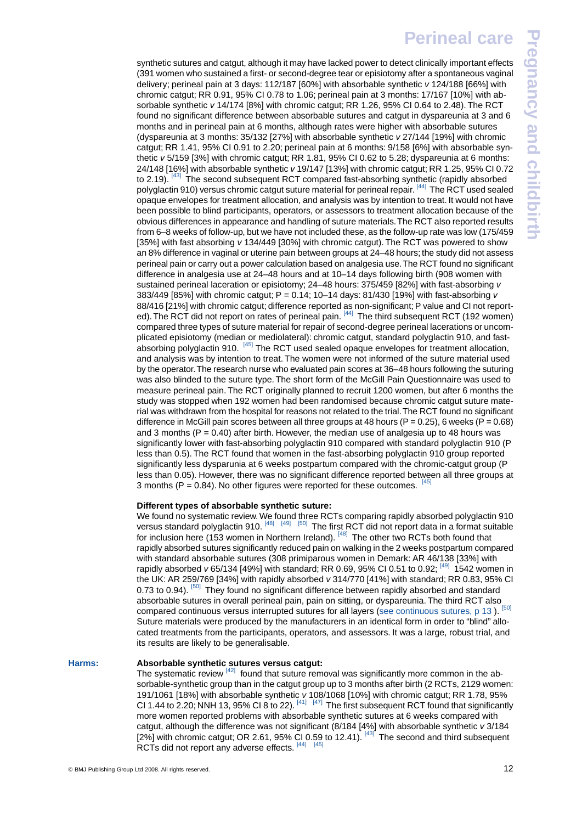synthetic sutures and catqut, although it may have lacked power to detect clinically important effects (391 women who sustained a first- or second-degree tear or episiotomy after a spontaneous vaginal delivery; perineal pain at 3 days: 112/187 [60%] with absorbable synthetic *v* 124/188 [66%] with chromic catgut; RR 0.91, 95% CI 0.78 to 1.06; perineal pain at 3 months: 17/167 [10%] with absorbable synthetic *v* 14/174 [8%] with chromic catgut; RR 1.26, 95% CI 0.64 to 2.48). The RCT found no significant difference between absorbable sutures and catgut in dyspareunia at 3 and 6 months and in perineal pain at 6 months, although rates were higher with absorbable sutures (dyspareunia at 3 months: 35/132 [27%] with absorbable synthetic *v* 27/144 [19%] with chromic catgut; RR 1.41, 95% CI 0.91 to 2.20; perineal pain at 6 months: 9/158 [6%] with absorbable synthetic *v* 5/159 [3%] with chromic catgut; RR 1.81, 95% CI 0.62 to 5.28; dyspareunia at 6 months: 24/148 [16%] with absorbable synthetic *v* 19/147 [13%] with chromic catgut; RR 1.25, 95% CI 0.72 to 2.19). [\[43\]](#page-14-42) The second subsequent RCT compared fast-absorbing synthetic (rapidly absorbed polyglactin 910) versus chromic catgut suture material for perineal repair. <sup>[\[44\]](#page-14-43)</sup> The RCT used sealed opaque envelopes for treatment allocation, and analysis was by intention to treat. It would not have been possible to blind participants, operators, or assessors to treatment allocation because of the obvious differences in appearance and handling of suture materials.The RCT also reported results from 6–8 weeks of follow-up, but we have not included these, as the follow-up rate was low (175/459 [35%] with fast absorbing *v* 134/449 [30%] with chromic catgut). The RCT was powered to show an 8% difference in vaginal or uterine pain between groups at 24–48 hours; the study did not assess perineal pain or carry out a power calculation based on analgesia use.The RCT found no significant difference in analgesia use at 24–48 hours and at 10–14 days following birth (908 women with sustained perineal laceration or episiotomy; 24–48 hours: 375/459 [82%] with fast-absorbing *v* 383/449 [85%] with chromic catgut; P = 0.14; 10–14 days: 81/430 [19%] with fast-absorbing *v* 88/416 [21%] with chromic catgut; difference reported as non-significant; P value and CI not report-ed). The RCT did not report on rates of perineal pain. <sup>[\[44\]](#page-14-43)</sup> The third subsequent RCT (192 women) compared three types of suture material for repair of second-degree perineal lacerations or uncomplicated episiotomy (median or mediolateral): chromic catgut, standard polyglactin 910, and fast-absorbing polyglactin 910. [\[45\]](#page-14-44) The RCT used sealed opaque envelopes for treatment allocation, and analysis was by intention to treat. The women were not informed of the suture material used by the operator.The research nurse who evaluated pain scores at 36–48 hours following the suturing was also blinded to the suture type. The short form of the McGill Pain Questionnaire was used to measure perineal pain. The RCT originally planned to recruit 1200 women, but after 6 months the study was stopped when 192 women had been randomised because chromic catgut suture material was withdrawn from the hospital for reasons not related to the trial.The RCT found no significant difference in McGill pain scores between all three groups at 48 hours ( $P = 0.25$ ), 6 weeks ( $P = 0.68$ ) and 3 months ( $P = 0.40$ ) after birth. However, the median use of analgesia up to 48 hours was significantly lower with fast-absorbing polyglactin 910 compared with standard polyglactin 910 (P less than 0.5). The RCT found that women in the fast-absorbing polyglactin 910 group reported significantly less dysparunia at 6 weeks postpartum compared with the chromic-catgut group (P less than 0.05). However, there was no significant difference reported between all three groups at 3 months (P = 0.84). No other figures were reported for these outcomes.  $^{[45]}$  $^{[45]}$  $^{[45]}$ 

### **Different types of absorbable synthetic suture:**

We found no systematic review.We found three RCTs comparing rapidly absorbed polyglactin 910 versus standard polyglactin 910. [\[48\]](#page-14-47) [\[49\]](#page-14-48) [\[50\]](#page-14-49) The first RCT did not report data in a format suitable for inclusion here (153 women in Northern Ireland). [\[48\]](#page-14-47) The other two RCTs both found that rapidly absorbed sutures significantly reduced pain on walking in the 2 weeks postpartum compared with standard absorbable sutures (308 primiparous women in Demark: AR 46/138 [33%] with rapidly absorbed *v* 65/134 [49%] with standard; RR 0.69, 95% CI 0.51 to 0.92; <sup>[\[49\]](#page-14-48)</sup> 1542 women in the UK: AR 259/769 [34%] with rapidly absorbed *v* 314/770 [41%] with standard; RR 0.83, 95% CI 0.73 to 0.94).  $\frac{50}{}$  They found no significant difference between rapidly absorbed and standard absorbable sutures in overall perineal pain, pain on sitting, or dyspareunia. The third RCT also compared continuous versus interrupted sutures for all layers [\(see continuous sutures, p 13](#page-12-0)). [\[50\]](#page-14-49) Suture materials were produced by the manufacturers in an identical form in order to "blind" allocated treatments from the participants, operators, and assessors. It was a large, robust trial, and its results are likely to be generalisable.

# **Harms: Absorbable synthetic sutures versus catgut:**

The systematic review [\[42\]](#page-14-41) found that suture removal was significantly more common in the absorbable-synthetic group than in the catgut group up to 3 months after birth (2 RCTs, 2129 women: 191/1061 [18%] with absorbable synthetic *v* 108/1068 [10%] with chromic catgut; RR 1.78, 95% CI 1.44 to 2.20; NNH 13, 95% CI 8 to 22).  $^{[41]}$  $^{[41]}$  $^{[41]}$   $^{[47]}$  $^{[47]}$  $^{[47]}$  The first subsequent RCT found that significantly more women reported problems with absorbable synthetic sutures at 6 weeks compared with catgut, although the difference was not significant (8/184 [4%] with absorbable synthetic *v* 3/184 [2%] with chromic catgut; OR 2.61, 95% CI 0.59 to 12.41).  $^{[43]}$  $^{[43]}$  $^{[43]}$  The second and third subsequent RCTs did not report any adverse effects. [\[44\]](#page-14-43) [\[45\]](#page-14-44)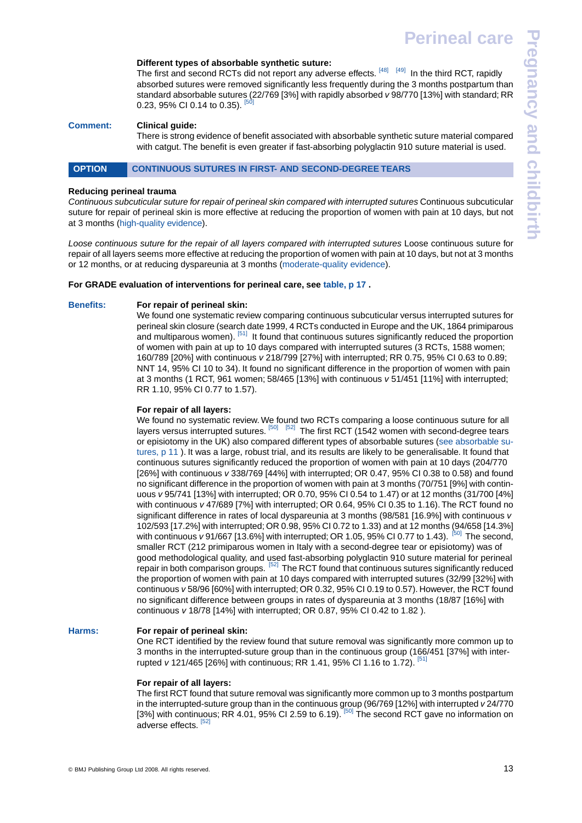#### **Different types of absorbable synthetic suture:**

The first and second RCTs did not report any adverse effects. [\[48\]](#page-14-47) [\[49\]](#page-14-48) In the third RCT, rapidly absorbed sutures were removed significantly less frequently during the 3 months postpartum than standard absorbable sutures (22/769 [3%] with rapidly absorbed *v* 98/770 [13%] with standard; RR 0.23, 95% CI 0.14 to 0.35).

### **Comment: Clinical guide:**

<span id="page-12-0"></span>There is strong evidence of benefit associated with absorbable synthetic suture material compared with catgut. The benefit is even greater if fast-absorbing polyglactin 910 suture material is used.

# OPTION CONTINUOUS SUTURES IN FIRST- AND SECOND-DEGREE TEARS

### **Reducing perineal trauma**

*Continuous subcuticular suture for repair of perineal skin compared with interrupted sutures* Continuous subcuticular suture for repair of perineal skin is more effective at reducing the proportion of women with pain at 10 days, but not at 3 months [\(high-quality evidence\)](#page-13-8).

*Loose continuous suture for the repair of all layers compared with interrupted sutures* Loose continuous suture for repair of all layers seems more effective at reducing the proportion of women with pain at 10 days, but not at 3 months or 12 months, or at reducing dyspareunia at 3 months ([moderate-quality evidence](#page-13-2)).

### **For GRADE evaluation of interventions for perineal care, see [table, p 17](#page-16-0) .**

**Benefits: For repair of perineal skin:**

We found one systematic review comparing continuous subcuticular versus interrupted sutures for perineal skin closure (search date 1999, 4 RCTs conducted in Europe and the UK, 1864 primiparous and multiparous women). <sup>[\[51\]](#page-14-50)</sup> It found that continuous sutures significantly reduced the proportion of women with pain at up to 10 days compared with interrupted sutures (3 RCTs, 1588 women; 160/789 [20%] with continuous *v* 218/799 [27%] with interrupted; RR 0.75, 95% CI 0.63 to 0.89; NNT 14, 95% CI 10 to 34). It found no significant difference in the proportion of women with pain at 3 months (1 RCT, 961 women; 58/465 [13%] with continuous *v* 51/451 [11%] with interrupted; RR 1.10, 95% CI 0.77 to 1.57).

#### **For repair of all layers:**

We found no systematic review. We found two RCTs comparing a loose continuous suture for all layers versus interrupted sutures. <sup>[\[50\]](#page-14-49) [\[52\]](#page-14-51)</sup> The first RCT (1542 women with second-degree tears or episiotomy in the UK) also compared different types of absorbable sutures [\(see absorbable su](#page-10-0)[tures, p 11](#page-10-0) ). It was a large, robust trial, and its results are likely to be generalisable. It found that continuous sutures significantly reduced the proportion of women with pain at 10 days (204/770 [26%] with continuous *v* 338/769 [44%] with interrupted; OR 0.47, 95% CI 0.38 to 0.58) and found no significant difference in the proportion of women with pain at 3 months (70/751 [9%] with continuous *v* 95/741 [13%] with interrupted; OR 0.70, 95% CI 0.54 to 1.47) or at 12 months (31/700 [4%] with continuous *v* 47/689 [7%] with interrupted; OR 0.64, 95% CI 0.35 to 1.16). The RCT found no significant difference in rates of local dyspareunia at 3 months (98/581 [16.9%] with continuous *v* 102/593 [17.2%] with interrupted; OR 0.98, 95% CI 0.72 to 1.33) and at 12 months (94/658 [14.3%] with continuous *v* 91/667 [13.6%] with interrupted; OR 1.05, 95% CI 0.77 to 1.43). <sup>[\[50\]](#page-14-49)</sup> The second, smaller RCT (212 primiparous women in Italy with a second-degree tear or episiotomy) was of good methodological quality, and used fast-absorbing polyglactin 910 suture material for perineal repair in both comparison groups. [\[52\]](#page-14-51) The RCT found that continuous sutures significantly reduced the proportion of women with pain at 10 days compared with interrupted sutures (32/99 [32%] with continuous *v* 58/96 [60%] with interrupted; OR 0.32, 95% CI 0.19 to 0.57). However, the RCT found no significant difference between groups in rates of dyspareunia at 3 months (18/87 [16%] with continuous *v* 18/78 [14%] with interrupted; OR 0.87, 95% CI 0.42 to 1.82 ).

# **Harms: For repair of perineal skin:**

One RCT identified by the review found that suture removal was significantly more common up to 3 months in the interrupted-suture group than in the continuous group (166/451 [37%] with interrupted *v* 121/465 [26%] with continuous; RR 1.41, 95% Cl 1.16 to 1.72). [\[51\]](#page-14-50)

#### **For repair of all layers:**

The first RCT found that suture removal was significantly more common up to 3 months postpartum in the interrupted-suture group than in the continuous group (96/769 [12%] with interrupted *v* 24/770 [3%] with continuous; RR 4.01, 95% CI 2.59 to 6.19). <sup>[\[50\]](#page-14-49)</sup> The second RCT gave no information on adverse effects.<sup>[\[52\]](#page-14-51)</sup>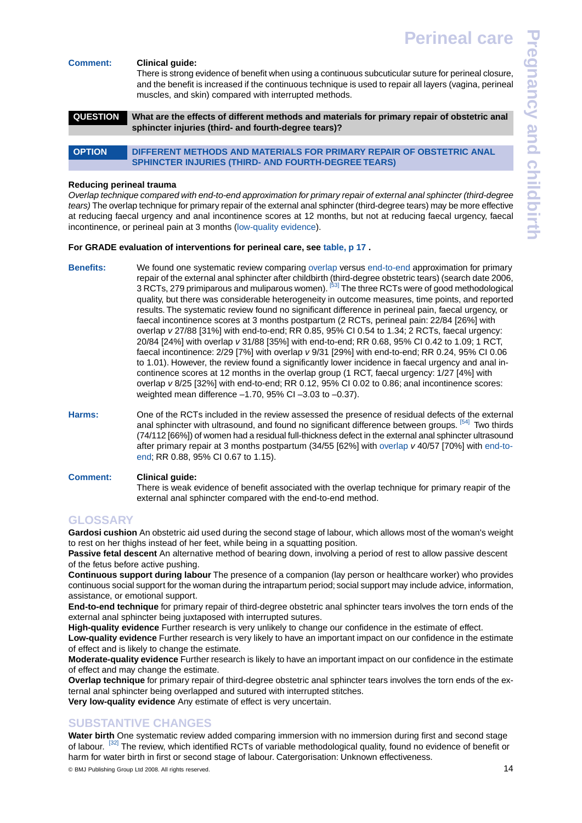#### **Comment: Clinical guide:**

<span id="page-13-0"></span>There is strong evidence of benefit when using a continuous subcuticular suture for perineal closure, and the benefit is increased if the continuous technique is used to repair all layers (vagina, perineal muscles, and skin) compared with interrupted methods.

# **QUESTION What are the effects of different methods and materials for primary repair of obstetric anal sphincter injuries (third- and fourth-degree tears)?**

<span id="page-13-1"></span>**OPTION DIFFERENT METHODS AND MATERIALS FOR PRIMARY REPAIR OF OBSTETRIC ANAL SPHINCTER INJURIES (THIRD- AND FOURTH-DEGREE TEARS)** 

#### **Reducing perineal trauma**

*Overlap technique compared with end-to-end approximation for primary repair of external anal sphincter (third-degree tears)* The overlap technique for primary repair of the external anal sphincter (third-degree tears) may be more effective at reducing faecal urgency and anal incontinence scores at 12 months, but not at reducing faecal urgency, faecal incontinence, or perineal pain at 3 months ([low-quality evidence](#page-13-4)).

#### **For GRADE evaluation of interventions for perineal care, see [table, p 17](#page-16-0) .**

- **Benefits:** We found one systematic review comparing [overlap](#page-13-9) versus [end-to-end](#page-13-10) approximation for primary repair of the external anal sphincter after childbirth (third-degree obstetric tears) (search date 2006, 3 RCTs, 279 primiparous and muliparous women). <sup>[\[53\]](#page-15-1)</sup> The three RCTs were of good methodological quality, but there was considerable heterogeneity in outcome measures, time points, and reported results. The systematic review found no significant difference in perineal pain, faecal urgency, or faecal incontinence scores at 3 months postpartum (2 RCTs, perineal pain: 22/84 [26%] with overlap *v* 27/88 [31%] with end-to-end; RR 0.85, 95% CI 0.54 to 1.34; 2 RCTs, faecal urgency: 20/84 [24%] with overlap *v* 31/88 [35%] with end-to-end; RR 0.68, 95% CI 0.42 to 1.09; 1 RCT, faecal incontinence: 2/29 [7%] with overlap *v* 9/31 [29%] with end-to-end; RR 0.24, 95% CI 0.06 to 1.01). However, the review found a significantly lower incidence in faecal urgency and anal incontinence scores at 12 months in the overlap group (1 RCT, faecal urgency: 1/27 [4%] with overlap *v* 8/25 [32%] with end-to-end; RR 0.12, 95% CI 0.02 to 0.86; anal incontinence scores: weighted mean difference –1.70, 95% CI –3.03 to –0.37).
- **Harms:** One of the RCTs included in the review assessed the presence of residual defects of the external anal sphincter with ultrasound, and found no significant difference between groups. <sup>[\[54\]](#page-15-2)</sup> Two thirds (74/112 [66%]) of women had a residual full-thickness defect in the external anal sphincter ultrasound after primary repair at 3 months postpartum (34/55 [62%] with [overlap](#page-13-9) *v* 40/57 [70%] with [end-to](#page-13-9)[end](#page-13-9); RR 0.88, 95% CI 0.67 to 1.15).

# <span id="page-13-6"></span>**Comment: Clinical guide:** There is weak evidence of benefit associated with the overlap technique for primary reapir of the external anal sphincter compared with the end-to-end method.

# <span id="page-13-7"></span><span id="page-13-5"></span>**GLOSSARY**

**Gardosi cushion** An obstetric aid used during the second stage of labour, which allows most of the woman's weight to rest on her thighs instead of her feet, while being in a squatting position.

<span id="page-13-10"></span>**Passive fetal descent** An alternative method of bearing down, involving a period of rest to allow passive descent of the fetus before active pushing.

<span id="page-13-8"></span><span id="page-13-4"></span>**Continuous support during labour** The presence of a companion (lay person or healthcare worker) who provides continuous social support for the woman during the intrapartum period; social support may include advice, information, assistance, or emotional support.

<span id="page-13-9"></span><span id="page-13-2"></span>**End-to-end technique** for primary repair of third-degree obstetric anal sphincter tears involves the torn ends of the external anal sphincter being juxtaposed with interrupted sutures.

<span id="page-13-3"></span>**High-quality evidence** Further research is very unlikely to change our confidence in the estimate of effect.

**Low-quality evidence** Further research is very likely to have an important impact on our confidence in the estimate of effect and is likely to change the estimate.

**Moderate-quality evidence** Further research is likely to have an important impact on our confidence in the estimate of effect and may change the estimate.

**Overlap technique** for primary repair of third-degree obstetric anal sphincter tears involves the torn ends of the external anal sphincter being overlapped and sutured with interrupted stitches.

**Very low-quality evidence** Any estimate of effect is very uncertain.

# **SUBSTANTIVE CHANGES**

**Water birth** One systematic review added comparing immersion with no immersion during first and second stage of labour. <sup>[\[32\]](#page-14-31)</sup> The review, which identified RCTs of variable methodological quality, found no evidence of benefit or harm for water birth in first or second stage of labour. Catergorisation: Unknown effectiveness.

© BMJ Publishing Group Ltd 2008. All rights reserved. .......................................................... 14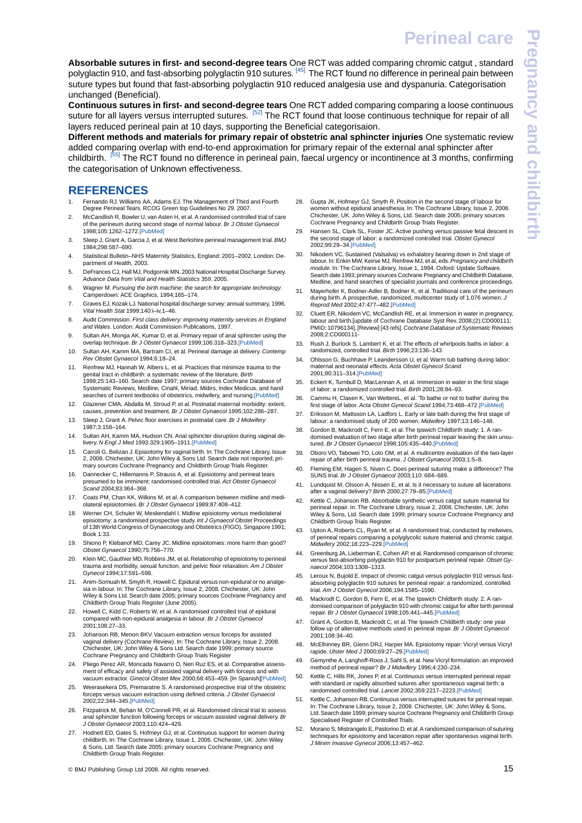<span id="page-14-64"></span>**Absorbable sutures in first- and second-degree tears** One RCT was added comparing chromic catgut , standard polyglactin 910, and fast-absorbing polyglactin 910 sutures. <sup>[\[45\]](#page-14-44)</sup> The RCT found no difference in perineal pain between suture types but found that fast-absorbing polyglactin 910 reduced analgesia use and dyspanuria. Categorisation unchanged (Beneficial).

**Continuous sutures in first- and second-degree tears** One RCT added comparing comparing a loose continuous suture for all layers versus interrupted sutures. <sup>[\[52\]](#page-14-51)</sup> The RCT found that loose continuous technique for repair of all layers reduced perineal pain at 10 days, supporting the Beneficial categorisaion.

**Different methods and materials for primary repair of obstetric anal sphincter injuries** One systematic review added comparing overlap with end-to-end approximation for primary repair of the external anal sphincter after childbirth. <sup>[\[55\]](#page-15-3)</sup> The RCT found no difference in perineal pain, faecal urgency or incontinence at 3 months, confirming the categorisation of Unknown effectiveness.

# <span id="page-14-53"></span><span id="page-14-52"></span><span id="page-14-0"></span>**REFERENCES**

- <span id="page-14-54"></span><span id="page-14-1"></span>1. Fernando RJ, Williams AA, Adams EJ. The Management of Third and Fourth Degree Perineal Tears. RCOG Green top Guidelines No 29. 2007.
- <span id="page-14-55"></span><span id="page-14-2"></span>2. McCandlish R, Bowler U, van Asten H, et al. A randomised controlled trial of care of the perineum during second stage of normal labour. *Br J Obstet Gynaecol* 1998;105:1262–1272.[\[PubMed\]](http://www.ncbi.nlm.nih.gov/pubmed/9883917)
- <span id="page-14-4"></span><span id="page-14-3"></span>3. Sleep J, Grant A, Garcia J, et al.West Berkshire perineal management trial. *BMJ* 1984;298:587–690.
- <span id="page-14-5"></span>4. Statistical Bulletin–NHS Maternity Statistics, England: 2001–2002. London: Department of Health, 2003.
- <span id="page-14-6"></span>5. DeFrances CJ, Hall MJ, Podgornik MN. 2003 National Hospital Discharge Survey. *Advance Data from Vital and Health Statistics* 359. 2005.
- <span id="page-14-56"></span><span id="page-14-7"></span>6. Wagner M. *Pursuing the birth machine: the search for appropriate technology*. Camperdown: ACE Graphics, 1994;165–174.
- <span id="page-14-57"></span><span id="page-14-8"></span>7. Graves EJ, Kozak LJ. National hospital discharge survey: annual summary, 1996. *Vital Health Stat* 1999;140:i–iv,1–46.
- <span id="page-14-9"></span>8. Audit Commission. *First class delivery: improving maternity services in England and Wales*. London: Audit Commission Publications, 1997.
- <span id="page-14-10"></span>9. Sultan AH, Monga AK, Kumar D, et al. Primary repair of anal sphincter using the overlap technique. *Br J Obstet Gynaecol* 1999;106:318–323.[\[PubMed\]](http://www.ncbi.nlm.nih.gov/pubmed/10426237)
- <span id="page-14-58"></span>10. Sultan AH, Kamm MA, Bartram CI, et al. Perineal damage at delivery. *Contemp Rev Obstet Gynaecol* 1994;6:18–24.
- <span id="page-14-12"></span><span id="page-14-11"></span>Renfrew MJ, Hannah W, Albers L, et al. Practices that minimize trauma to the genital tract in childbirth: a systematic review of the literature. *Birth* 1998;25:143–160. Search date 1997; primary sources Cochrane Database of Systematic Reviews, Medline, Cinahl, Miriad, Midirs, Index Medicus, and hand stematic Novicus, modific, Sinang, military, master, medicines of current textbooks of obstetrics, midwifery, and nursing[.\[PubMed\]](http://www.ncbi.nlm.nih.gov/pubmed/9767217)
- <span id="page-14-59"></span><span id="page-14-14"></span><span id="page-14-13"></span>12. Glazener CMA, Abdalla M, Stroud P, et al. Postnatal maternal morbidity: extent, causes, prevention and treatment. *Br J Obstet Gynaecol* 1995;102:286–287.
- <span id="page-14-60"></span><span id="page-14-15"></span>13. Sleep J, Grant A. Pelvic floor exercises in postnatal care. *Br J Midwifery* 1987;3:158–164.
- 14. Sultan AH, Kamm MA, Hudson CN. Anal sphincter disruption during vaginal delivery. *N Engl J Med* 1993;329:1905–1911[.\[PubMed\]](http://www.ncbi.nlm.nih.gov/pubmed/8247054)
- <span id="page-14-16"></span>15. Carroli G, Belizan J. Episiotomy for vaginal birth. In:The Cochrane Library, Issue 2, 2008. Chichester, UK: John Wiley & Sons Ltd. Search date not reported; primary sources Cochrane Pregnancy and Childbirth Group Trials Register.
- <span id="page-14-17"></span>16. Dannecker C, Hillemanns P, Strauss A, et al. Episiotomy and perineal tears presumed to be imminent: randomised controlled trial. *Act Obstet Gynaecol Scand* 2004;83:364–368.
- <span id="page-14-19"></span><span id="page-14-18"></span>17. Coats PM, Chan KK, Wilkins M, et al. A comparison between midline and mediolateral episiotomies. *Br J Obstet Gynaecol* 1989;87:408–412.
- <span id="page-14-20"></span>18. Werner CH, Schuler W, Meskendahl I. Midline episiotomy versus mediolateral episiotomy: a randomised prospective study. *Int J Gynaecol Obstet* Proceedings of 13th World Congress of Gynaecology and Obstetrics (FIGO), Singapore 1991; Book 1:33.
- 19. Shiono P, Klebanof MD, Carey JC. Midline episiotomies: more harm than good? *Obstet Gynaecol* 1990;75:756–770.
- <span id="page-14-21"></span>20. Klein MC, Gauthier MD, Robbins JM, et al. Relationship of episiotomy to perineal trauma and morbidity, sexual function, and pelvic floor relaxation. *Am J Obstet Gynecol* 1994;17:591–598.
- <span id="page-14-22"></span>21. Anim-Somuah M, Smyth R, Howell C. Epidural versus non-epidural or no analgesia in labour. In: The Cochrane Library, Issue 2, 2008. Chichester, UK: John Wiley & Sons Ltd. Search date 2005; primary sources Cochrane Pregnancy and Childbirth Group Trials Register (June 2005).
- <span id="page-14-24"></span><span id="page-14-23"></span>22. Howell C, Kidd C, Roberts W, et al. A randomised controlled trial of epidural compared with non-epidural analgesia in labour. *Br J Obstet Gynaecol* 2001;108:27–33.
- <span id="page-14-25"></span>23. Johanson RB, Menon BKV. Vacuum extraction versus forceps for assisted vaginal delivery (Cochrane Review). In: The Cochrane Library, Issue 2, 2008. Chichester, UK: John Wiley & Sons Ltd. Search date 1999; primary source Cochrane Pregnancy and Childbirth Group Trials Register
- <span id="page-14-26"></span>24. Pliego Perez AR, Moncada Navarro O, Neri Ruz ES, et al. Comparative assessment of efficacy and safety of assisted vaginal delivery with forceps and with vacuum extractor. *Ginecol Obstet Mex* 2000;68:453–459. [In Spanish[\]\[PubMed\]](http://www.ncbi.nlm.nih.gov/pubmed/11195958)
- 25. Weerasekera DS, Premaratne S. A randomised prospective trial of the obstetric forceps versus vacuum extraction using defined criteria. *J Obstet Gynaecol* 2002;22:344–345.[\[PubMed\]](http://www.ncbi.nlm.nih.gov/pubmed/12521450)
- Fitzpatrick M, Behan M, O'Connell PR, et al. Randomised clinical trial to asses anal sphincter function following forceps or vacuum assisted vaginal delivery. *Br J Obstet Gynaecol* 2003;110:424–429.
- 27. Hodnett ED, Gates S, Hofmeyr GJ, et al. Continuous support for women during childbirth. In: The Cochrane Library, Issue 1, 2006. Chichester, UK: John Wiley & Sons, Ltd. Search date 2005; primary sources Cochrane Pregnancy and Childbirth Group Trials Register.

© BMJ Publishing Group Ltd 2008. All rights reserved. .......................................................... 15

<span id="page-14-70"></span><span id="page-14-69"></span><span id="page-14-68"></span><span id="page-14-67"></span><span id="page-14-28"></span><span id="page-14-27"></span>28. Gupta JK, Hofmeyr GJ, Smyth R. Position in the second stage of labour for women without epidural anaesthesia. In: The Cochrane Library, Issue 2, 2008. Chichester, UK: John Wiley & Sons, Ltd. Search date 2005; primary sources Cochrane Pregnancy and Childbirth Group Trials Register.

<span id="page-14-66"></span><span id="page-14-65"></span><span id="page-14-63"></span><span id="page-14-62"></span><span id="page-14-61"></span>**Perineal care**

- <span id="page-14-71"></span><span id="page-14-29"></span>29. Hansen SL, Clark SL, Foster JC. Active pushing versus passive fetal descent in the second stage of labor: a randomized controlled trial. *Obstet Gynecol* 2002;99:29–34.[\[PubMed\]](http://www.ncbi.nlm.nih.gov/pubmed/11777506)
- <span id="page-14-72"></span><span id="page-14-30"></span>30. Nikodem VC. Sustained (Valsalva) vs exhalatory bearing down in 2nd stage of labour. In: Enkin MW, Keirse MJ, Renfrew MJ, et al, eds.*Pregnancy and childbirth module*. In: The Cochrane Library, Issue 1, 1994. Oxford: Update Software. Search date 1993; primary sources Cochrane Pregnancy and Childbirth Database, Medline, and hand searches of specialist journals and conference proceedings.
- <span id="page-14-73"></span><span id="page-14-31"></span>31. Mayerhofer K, Bodner-Adler B, Bodner K, et al. Traditional care of the perineum during birth. A prospective, randomized, multicenter study of 1,076 women. *J Reprod Med* 2002;47:477–482.[\[PubMed\]](http://www.ncbi.nlm.nih.gov/pubmed/12092017)
- <span id="page-14-33"></span><span id="page-14-32"></span>32. Cluett ER, Nikodem VC, McCandlish RE, et al. Immersion in water in pregnancy, labour and birth.[update of Cochrane Database Syst Rev. 2008;(2):CD000111; PMID: 10796134]. [Review] [43 refs]. *Cochrane Database of Systematic Reviews* 2008;2:CD000111-
- <span id="page-14-34"></span>33. Rush J, Burlock S, Lambert K, et al. The effects of whirlpools baths in labor: a randomized, controlled trial. *Birth* 1996;23:136–143.
- <span id="page-14-75"></span><span id="page-14-74"></span><span id="page-14-35"></span>34. Ohlsson G, Buchhave P, Leandersson U, et al. Warm tub bathing during labor: maternal and neonatal effects. *Acta Obstet Gynecol Scand* 2001;80:311–314.[\[PubMed\]](http://www.ncbi.nlm.nih.gov/pubmed/11264604)
- <span id="page-14-76"></span><span id="page-14-37"></span><span id="page-14-36"></span>35. Eckert K, Turnbull D, MacLennan A, et al. Immersion in water in the first stage of labor: a randomized controlled trial. *Birth* 2001;28:84–93.
- 36. Cammu H, Clasen K, Van WettereL, et al. 'To bathe or not to bathe' during the first stage of labor. *Acta Obstet Gynecol Scand* 1994;73:468–472[.\[PubMed\]](http://www.ncbi.nlm.nih.gov/pubmed/8042458)
- <span id="page-14-77"></span><span id="page-14-39"></span><span id="page-14-38"></span>37. Eriksson M, Mattsson LA, Ladfors L. Early or late bath during the first stage of labour: a randomised study of 200 women. *Midwifery* 1997;13:146–148.
- <span id="page-14-40"></span>38. Gordon B, Mackrodt C, Fern E, et al. The Ipswich Childbirth study: 1. A randomised evaluation of two stage after birth perineal repair leaving the skin unsutured. *Br J Obstet Gynaecol* 1998;105:435–440[.\[PubMed\]](http://www.ncbi.nlm.nih.gov/pubmed/9609272)
- <span id="page-14-41"></span>39. Oboro VO, Tabowei TO, Loto OM, et al. A multicentre evaluation of the two-layer repair of after birth perineal trauma. *J Obstet Gynaecol* 2003;1:5–8.
- 40. Fleming EM, Hagen S, Niven C. Does perineal suturing make a difference? The SUNS trial. *Br J Obstet Gynaecol* 2003;110: 684–689.
- <span id="page-14-42"></span>41. Lundquist M, Olsson A, Nissen E, et al. Is it necessary to suture all lacerations after a vaginal delivery? *Birth* 2000;27:79–85[.\[PubMed\]](http://www.ncbi.nlm.nih.gov/pubmed/11251483)
- <span id="page-14-43"></span>42. Kettle C, Johanson RB. Absorbable synthetic versus catgut suture material for perineal repair. In: The Cochrane Library, Issue 2, 2008. Chichester, UK: John Wiley & Sons, Ltd. Search date 1999; primary source Cochrane Pregnancy and Childbirth Group Trials Register.
- <span id="page-14-45"></span><span id="page-14-44"></span>43. Upton A, Roberts CL, Ryan M, et al. A randomised trial, conducted by midwives, f perineal repairs comparing a polyglycolic suture material and chromic catgut. *Midwifery* 2002;18:223–229[.\[PubMed\]](http://www.ncbi.nlm.nih.gov/pubmed/12381426)
- <span id="page-14-46"></span>44. Greenburg JA, Lieberman E, Cohen AP, et al. Randomised comparison of chromic versus fast-absorbing polyglactin 910 for postpartum perineal repair. *Obset Gynaecol* 2004;103:1308–1313.
- <span id="page-14-47"></span>45. Leroux N, Bujold E. Impact of chromic catgut versus polyglactin 910 versus fastabsorbing polyglactin 910 sutures for perineal repair: a randomized, controlled trial. *Am J Obstet Gynecol* 2006;194:1585–1590.
- <span id="page-14-49"></span><span id="page-14-48"></span>46. Mackrodt C, Gordon B, Fern E, et al. The Ipswich Childbirth study: 2. A randomised comparison of polyglactin 910 with chromic catgut for after birth perineal repair. *Br J Obstet Gynaecol* 1998;105:441–445.[\[PubMed\]](http://www.ncbi.nlm.nih.gov/pubmed/9609273)
- <span id="page-14-50"></span>47. Grant A, Gordon B, Mackrodt C, et al. The Ipswich Childbirth study: one year follow up of alternative methods used in perineal repair. *Br J Obstet Gynaecol* 2001;108:34–40.
- 48. McElhinney BR, Glenn DRJ, Harper MA. Episiotomy repair: Vicryl versus Vicryl rapide. *Ulster Med J* 2000;69:27–29[.\[PubMed\]](http://www.ncbi.nlm.nih.gov/pubmed/10881642)
- <span id="page-14-51"></span>49. Gemynthe A, Langhoff-Roos J, Sahl S, et al. New Vicryl formulation: an improved method of perineal repair? *Br J Midwifery* 1996;4:230–234.
- 50. Kettle C, Hills RK, Jones P, et al. Continuous versus interrupted perineal repair with standard or rapidly absorbed sutures after spontaneous vaginal birth: a randomised controlled trial. *Lancet* 2002;359:2217–2223.[\[PubMed\]](http://www.ncbi.nlm.nih.gov/pubmed/12103284)
- Kettle C, Johanson RB. Continuous versus interrupted sutures for perineal repair In: The Cochrane Library, Issue 2, 2008. Chichester, UK: John Wiley & Sons Ltd. Search date 1999; primary source Cochrane Pregnancy and Childbirth Group Specialised Register of Controlled Trials.
- 52. Morano S, Mistrangelo E, Pastorino D, et al. A randomized comparison of suturing techniques for episiotomy and laceration repair after spontaneous vaginal birth. *J Minim Invasive Gynecol* 2006;13:457–462.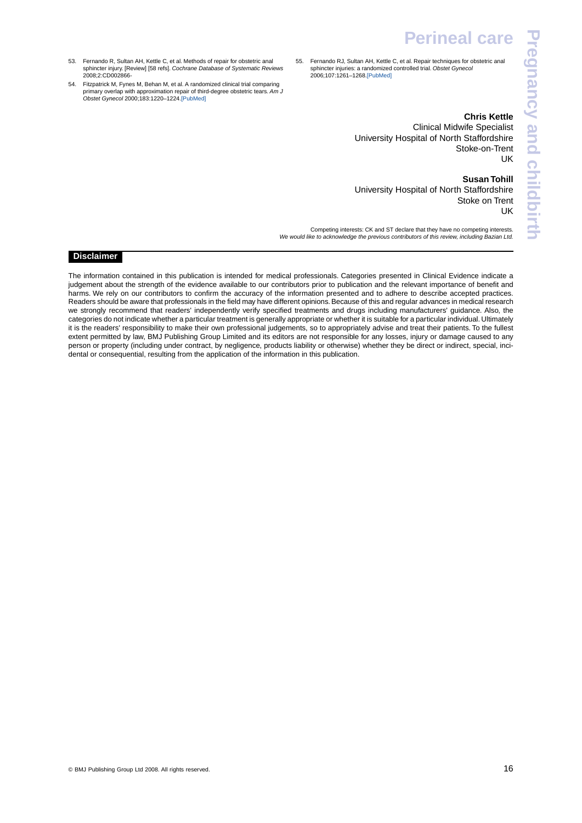- <span id="page-15-4"></span><span id="page-15-1"></span>53. Fernando R, Sultan AH, Kettle C, et al. Methods of repair for obstetric anal sphincter injury. [Review] [58 refs]. *Cochrane Database of Systematic Reviews* 2008;2:CD002866-
- <span id="page-15-2"></span><span id="page-15-0"></span>54. Fitzpatrick M, Fynes M, Behan M, et al. A randomized clinical trial comparing primary overlap with approximation repair of third-degree obstetric tears. *Am J Obstet Gynecol* 2000;183:1220–1224[.\[PubMed\]](http://www.ncbi.nlm.nih.gov/pubmed/11084569)
- <span id="page-15-3"></span>55. Fernando RJ, Sultan AH, Kettle C, et al. Repair techniques for obstetric anal sphincter injuries: a randomized controlled trial. *Obstet Gynecol* 2006;107:1261–1268[.\[PubMed\]](http://www.ncbi.nlm.nih.gov/pubmed/16738150)

# **Chris Kettle**

**Pregnancy and childbirthPregnancy and childbirth** 

Clinical Midwife Specialist University Hospital of North Staffordshire Stoke-on-Trent UK

**Susan Tohill**

University Hospital of North Staffordshire Stoke on Trent UK

Competing interests: CK and ST declare that they have no competing interests. *We would like to acknowledge the previous contributors of this review, including Bazian Ltd.*

# **Disclaimer**

The information contained in this publication is intended for medical professionals. Categories presented in Clinical Evidence indicate a judgement about the strength of the evidence available to our contributors prior to publication and the relevant importance of benefit and harms. We rely on our contributors to confirm the accuracy of the information presented and to adhere to describe accepted practices. Readers should be aware that professionals in the field may have different opinions. Because of this and regular advances in medical research we strongly recommend that readers' independently verify specified treatments and drugs including manufacturers' guidance. Also, the categories do not indicate whether a particular treatment is generally appropriate or whether it is suitable for a particular individual. Ultimately it is the readers' responsibility to make their own professional judgements, so to appropriately advise and treat their patients. To the fullest extent permitted by law, BMJ Publishing Group Limited and its editors are not responsible for any losses, injury or damage caused to any person or property (including under contract, by negligence, products liability or otherwise) whether they be direct or indirect, special, incidental or consequential, resulting from the application of the information in this publication.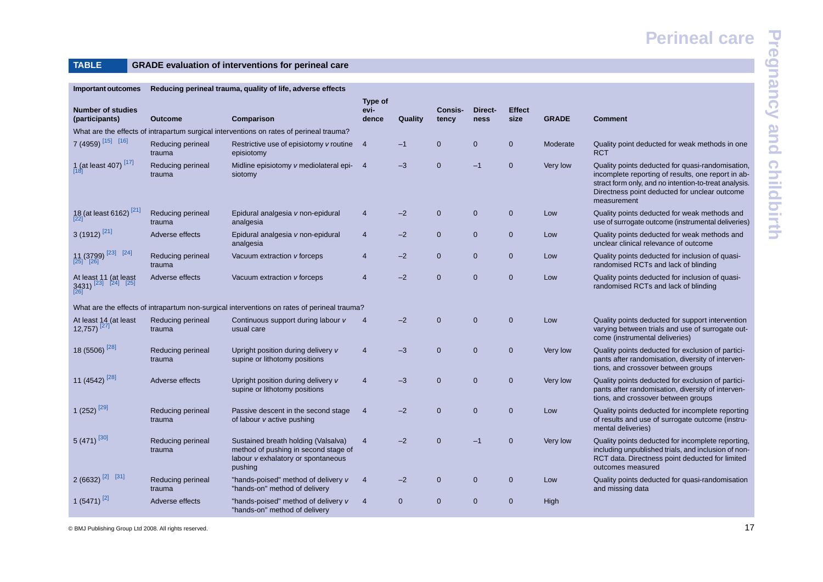# **TABLE GRADE evaluation of interventions for perineal care**

<span id="page-16-0"></span>

| <b>Important outcomes</b>                                        | Reducing perineal trauma, quality of life, adverse effects |                                                                                                                              |                          |                |                  |                 |                       |              |                                                                                                                                                                                                                                 |
|------------------------------------------------------------------|------------------------------------------------------------|------------------------------------------------------------------------------------------------------------------------------|--------------------------|----------------|------------------|-----------------|-----------------------|--------------|---------------------------------------------------------------------------------------------------------------------------------------------------------------------------------------------------------------------------------|
| <b>Number of studies</b><br>(participants)                       | <b>Outcome</b>                                             | Comparison                                                                                                                   | Type of<br>evi-<br>dence | Quality        | Consis-<br>tency | Direct-<br>ness | <b>Effect</b><br>size | <b>GRADE</b> | <b>Comment</b>                                                                                                                                                                                                                  |
|                                                                  |                                                            | What are the effects of intrapartum surgical interventions on rates of perineal trauma?                                      |                          |                |                  |                 |                       |              |                                                                                                                                                                                                                                 |
| 7 (4959) [15] [16]                                               | Reducing perineal<br>trauma                                | Restrictive use of episiotomy v routine<br>episiotomy                                                                        | $\overline{4}$           | $-1$           | $\mathbf{0}$     | $\mathbf{0}$    | $\overline{0}$        | Moderate     | Quality point deducted for weak methods in one<br><b>RCT</b>                                                                                                                                                                    |
| 1 (at least 407) $\frac{[17]}{[18]}$                             | Reducing perineal<br>trauma                                | Midline episiotomy v mediolateral epi- 4<br>siotomy                                                                          |                          | $-3$           | $\mathbf{0}$     | $-1$            | $\mathbf{0}$          | Very low     | Quality points deducted for quasi-randomisation,<br>incomplete reporting of results, one report in ab-<br>stract form only, and no intention-to-treat analysis.<br>Directness point deducted for unclear outcome<br>measurement |
| $\frac{18}{22}$ (at least 6162) <sup>[21]</sup>                  | Reducing perineal<br>trauma                                | Epidural analgesia v non-epidural<br>analgesia                                                                               | $\overline{4}$           | $-2$           | $\mathbf{0}$     | $\mathbf 0$     | $\overline{0}$        | Low          | Quality points deducted for weak methods and<br>use of surrogate outcome (instrumental deliveries)                                                                                                                              |
| 3 (1912) <sup>[21]</sup>                                         | Adverse effects                                            | Epidural analgesia v non-epidural<br>analgesia                                                                               | $\overline{4}$           | $-2$           | $\mathbf 0$      | $\pmb{0}$       | $\mathbf{0}$          | Low          | Quality points deducted for weak methods and<br>unclear clinical relevance of outcome                                                                                                                                           |
| $\frac{11}{[25]} \frac{(3799)}{[26]}$ $\frac{[23]}{[24]}$        | Reducing perineal<br>trauma                                | Vacuum extraction v forceps                                                                                                  | 4                        | $-2$           | $\mathbf{0}$     | $\mathbf{0}$    | $\overline{0}$        | Low          | Quality points deducted for inclusion of quasi-<br>randomised RCTs and lack of blinding                                                                                                                                         |
| At least 11 (at least<br>3431) <sup>[23]</sup> [24] [25]<br>[26] | Adverse effects                                            | Vacuum extraction v forceps                                                                                                  | $\overline{4}$           | $-2$           | $\mathbf{0}$     | $\mathbf 0$     | $\mathbf{0}$          | Low          | Quality points deducted for inclusion of quasi-<br>randomised RCTs and lack of blinding                                                                                                                                         |
|                                                                  |                                                            | What are the effects of intrapartum non-surgical interventions on rates of perineal trauma?                                  |                          |                |                  |                 |                       |              |                                                                                                                                                                                                                                 |
| At least 14 (at least<br>12,757) <sup>[27]</sup>                 | Reducing perineal<br>trauma                                | Continuous support during labour v<br>usual care                                                                             | $\overline{4}$           | $-2$           | $\mathbf{0}$     | $\mathbf 0$     | $\mathbf 0$           | Low          | Quality points deducted for support intervention<br>varying between trials and use of surrogate out-<br>come (instrumental deliveries)                                                                                          |
| 18 (5506) <sup>[28]</sup>                                        | Reducing perineal<br>trauma                                | Upright position during delivery v<br>supine or lithotomy positions                                                          | $\overline{4}$           | $-3$           | $\mathbf{0}$     | $\mathbf 0$     | $\mathbf{0}$          | Very low     | Quality points deducted for exclusion of partici-<br>pants after randomisation, diversity of interven-<br>tions, and crossover between groups                                                                                   |
| 11 (4542) $^{[28]}$                                              | Adverse effects                                            | Upright position during delivery v<br>supine or lithotomy positions                                                          | 4                        | $-3$           | $\mathbf 0$      | $\mathbf 0$     | $\mathbf{0}$          | Very low     | Quality points deducted for exclusion of partici-<br>pants after randomisation, diversity of interven-<br>tions, and crossover between groups                                                                                   |
| 1 (252) <sup>[29]</sup>                                          | Reducing perineal<br>trauma                                | Passive descent in the second stage<br>of labour v active pushing                                                            | $\overline{4}$           | $-2$           | $\mathbf{0}$     | $\mathbf 0$     | $\mathbf{0}$          | Low          | Quality points deducted for incomplete reporting<br>of results and use of surrogate outcome (instru-<br>mental deliveries)                                                                                                      |
| $5(471)$ <sup>[30]</sup>                                         | Reducing perineal<br>trauma                                | Sustained breath holding (Valsalva)<br>method of pushing in second stage of<br>labour v exhalatory or spontaneous<br>pushing | $\overline{4}$           | $-2$           | $\mathbf{0}$     | $-1$            | $\mathbf{0}$          | Very low     | Quality points deducted for incomplete reporting,<br>including unpublished trials, and inclusion of non-<br>RCT data. Directness point deducted for limited<br>outcomes measured                                                |
| $2(6632)^{[2]}$ [31]                                             | Reducing perineal<br>trauma                                | "hands-poised" method of delivery v<br>"hands-on" method of delivery                                                         | $\overline{4}$           | $-2$           | $\mathbf{0}$     | $\mathbf 0$     | $\mathbf{0}$          | Low          | Quality points deducted for quasi-randomisation<br>and missing data                                                                                                                                                             |
| 1 (5471) <sup>[2]</sup>                                          | Adverse effects                                            | "hands-poised" method of delivery v<br>"hands-on" method of delivery                                                         | $\overline{4}$           | $\overline{0}$ | $\mathbf{0}$     | $\mathbf{0}$    | $\mathbf{0}$          | High         |                                                                                                                                                                                                                                 |

© BMJ Publishing Group Ltd 2008. All rights reserved. 17